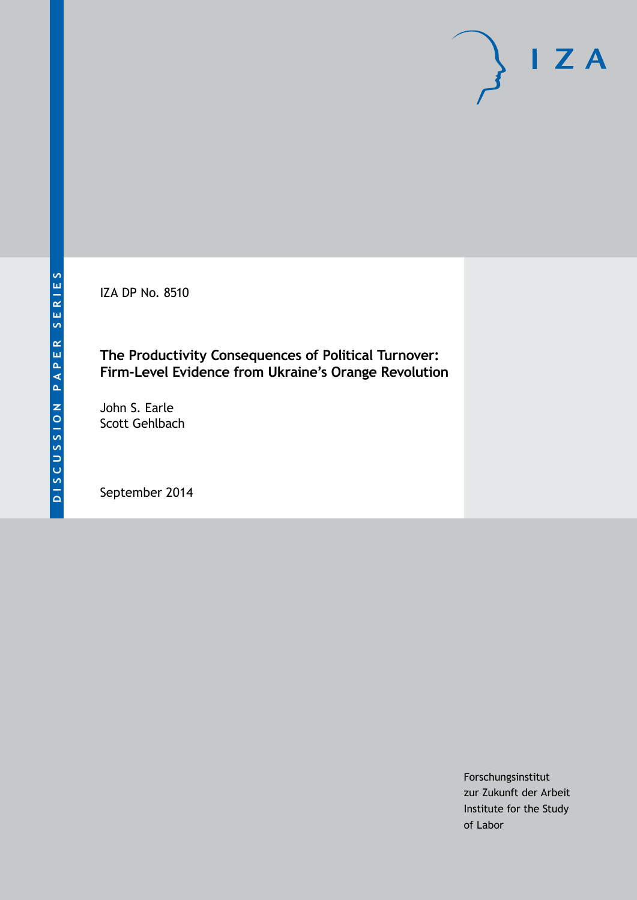IZA DP No. 8510

**The Productivity Consequences of Political Turnover: Firm-Level Evidence from Ukraine's Orange Revolution**

John S. Earle Scott Gehlbach

September 2014

Forschungsinstitut zur Zukunft der Arbeit Institute for the Study of Labor

 $I Z A$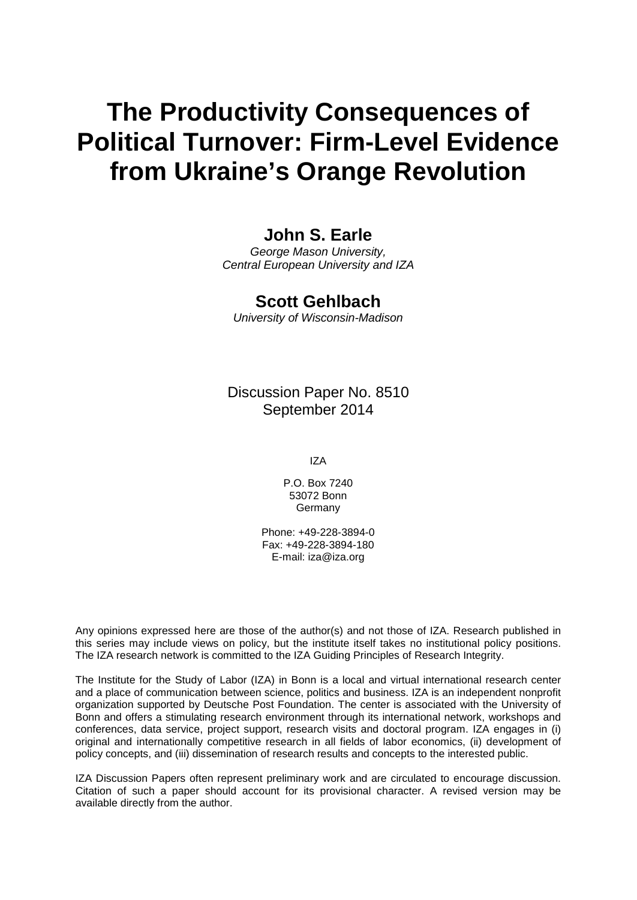# **The Productivity Consequences of Political Turnover: Firm-Level Evidence from Ukraine's Orange Revolution**

# **John S. Earle**

*George Mason University, Central European University and IZA*

# **Scott Gehlbach**

*University of Wisconsin-Madison*

Discussion Paper No. 8510 September 2014

IZA

P.O. Box 7240 53072 Bonn **Germany** 

Phone: +49-228-3894-0 Fax: +49-228-3894-180 E-mail: [iza@iza.org](mailto:iza@iza.org)

Any opinions expressed here are those of the author(s) and not those of IZA. Research published in this series may include views on policy, but the institute itself takes no institutional policy positions. The IZA research network is committed to the IZA Guiding Principles of Research Integrity.

The Institute for the Study of Labor (IZA) in Bonn is a local and virtual international research center and a place of communication between science, politics and business. IZA is an independent nonprofit organization supported by Deutsche Post Foundation. The center is associated with the University of Bonn and offers a stimulating research environment through its international network, workshops and conferences, data service, project support, research visits and doctoral program. IZA engages in (i) original and internationally competitive research in all fields of labor economics, (ii) development of policy concepts, and (iii) dissemination of research results and concepts to the interested public.

IZA Discussion Papers often represent preliminary work and are circulated to encourage discussion. Citation of such a paper should account for its provisional character. A revised version may be available directly from the author.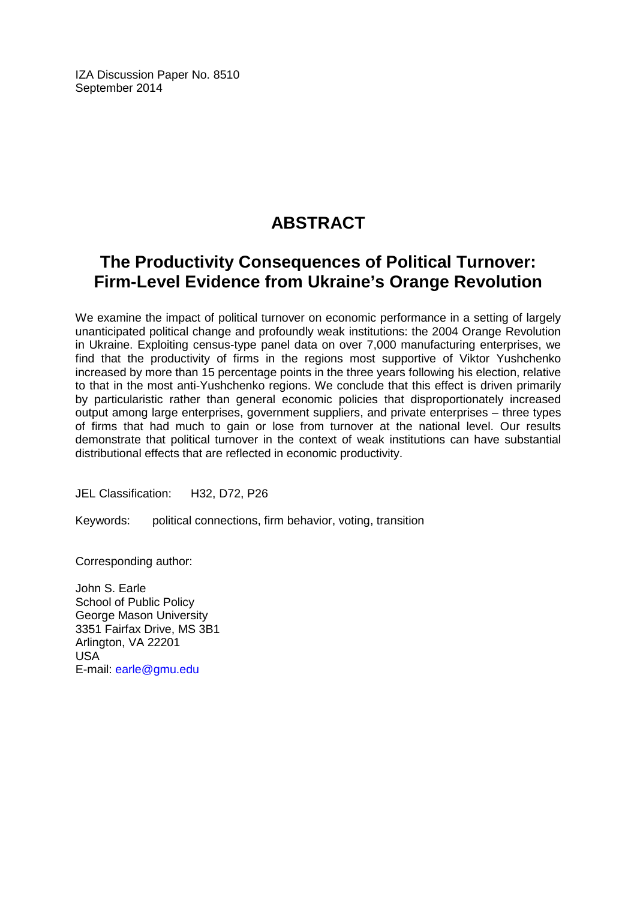IZA Discussion Paper No. 8510 September 2014

# **ABSTRACT**

# **The Productivity Consequences of Political Turnover: Firm-Level Evidence from Ukraine's Orange Revolution**

We examine the impact of political turnover on economic performance in a setting of largely unanticipated political change and profoundly weak institutions: the 2004 Orange Revolution in Ukraine. Exploiting census-type panel data on over 7,000 manufacturing enterprises, we find that the productivity of firms in the regions most supportive of Viktor Yushchenko increased by more than 15 percentage points in the three years following his election, relative to that in the most anti-Yushchenko regions. We conclude that this effect is driven primarily by particularistic rather than general economic policies that disproportionately increased output among large enterprises, government suppliers, and private enterprises – three types of firms that had much to gain or lose from turnover at the national level. Our results demonstrate that political turnover in the context of weak institutions can have substantial distributional effects that are reflected in economic productivity.

JEL Classification: H32, D72, P26

Keywords: political connections, firm behavior, voting, transition

Corresponding author:

John S. Earle School of Public Policy George Mason University 3351 Fairfax Drive, MS 3B1 Arlington, VA 22201 USA E-mail: [earle@gmu.edu](mailto:earle@gmu.edu)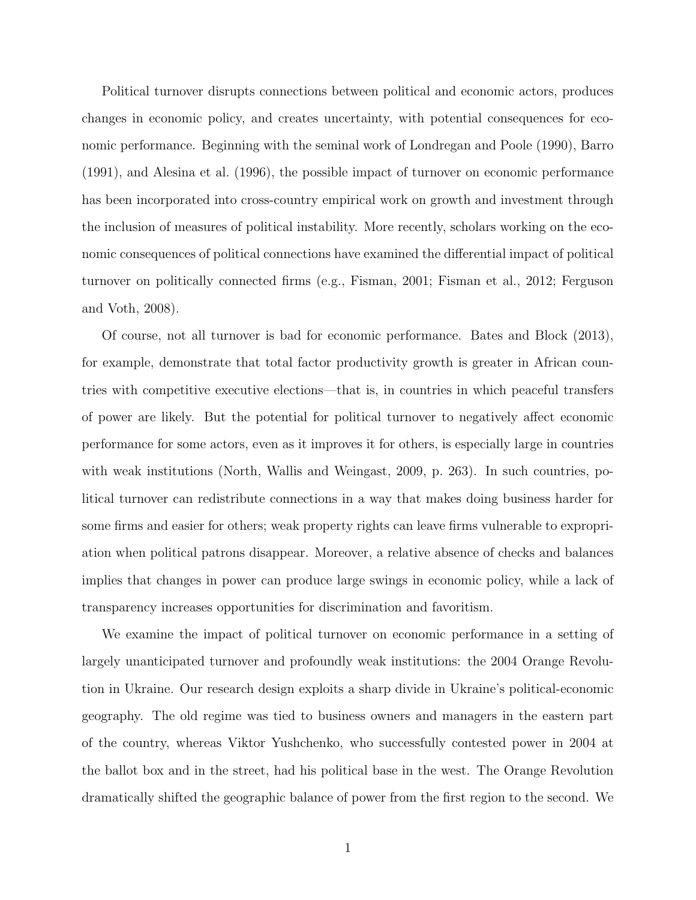Political turnover disrupts connections between political and economic actors, produces changes in economic policy, and creates uncertainty, with potential consequences for economic performance. Beginning with the seminal work of Londregan and Poole (1990), Barro (1991), and Alesina et al. (1996), the possible impact of turnover on economic performance has been incorporated into cross-country empirical work on growth and investment through the inclusion of measures of political instability. More recently, scholars working on the economic consequences of political connections have examined the differential impact of political turnover on politically connected firms (e.g., Fisman, 2001; Fisman et al., 2012; Ferguson and Voth, 2008).

Of course, not all turnover is bad for economic performance. Bates and Block (2013), for example, demonstrate that total factor productivity growth is greater in African countries with competitive executive elections—that is, in countries in which peaceful transfers of power are likely. But the potential for political turnover to negatively affect economic performance for some actors, even as it improves it for others, is especially large in countries with weak institutions (North, Wallis and Weingast, 2009, p. 263). In such countries, political turnover can redistribute connections in a way that makes doing business harder for some firms and easier for others; weak property rights can leave firms vulnerable to expropriation when political patrons disappear. Moreover, a relative absence of checks and balances implies that changes in power can produce large swings in economic policy, while a lack of transparency increases opportunities for discrimination and favoritism.

We examine the impact of political turnover on economic performance in a setting of largely unanticipated turnover and profoundly weak institutions: the 2004 Orange Revolution in Ukraine. Our research design exploits a sharp divide in Ukraine's political-economic geography. The old regime was tied to business owners and managers in the eastern part of the country, whereas Viktor Yushchenko, who successfully contested power in 2004 at the ballot box and in the street, had his political base in the west. The Orange Revolution dramatically shifted the geographic balance of power from the first region to the second. We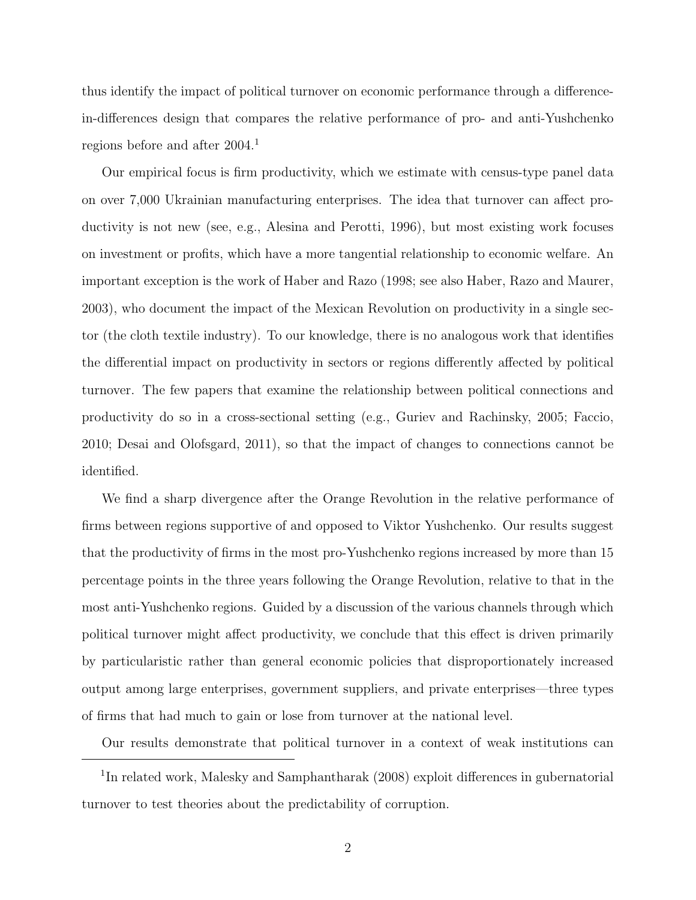thus identify the impact of political turnover on economic performance through a differencein-differences design that compares the relative performance of pro- and anti-Yushchenko regions before and after 2004.<sup>1</sup>

Our empirical focus is firm productivity, which we estimate with census-type panel data on over 7,000 Ukrainian manufacturing enterprises. The idea that turnover can affect productivity is not new (see, e.g., Alesina and Perotti, 1996), but most existing work focuses on investment or profits, which have a more tangential relationship to economic welfare. An important exception is the work of Haber and Razo (1998; see also Haber, Razo and Maurer, 2003), who document the impact of the Mexican Revolution on productivity in a single sector (the cloth textile industry). To our knowledge, there is no analogous work that identifies the differential impact on productivity in sectors or regions differently affected by political turnover. The few papers that examine the relationship between political connections and productivity do so in a cross-sectional setting (e.g., Guriev and Rachinsky, 2005; Faccio, 2010; Desai and Olofsgard, 2011), so that the impact of changes to connections cannot be identified.

We find a sharp divergence after the Orange Revolution in the relative performance of firms between regions supportive of and opposed to Viktor Yushchenko. Our results suggest that the productivity of firms in the most pro-Yushchenko regions increased by more than 15 percentage points in the three years following the Orange Revolution, relative to that in the most anti-Yushchenko regions. Guided by a discussion of the various channels through which political turnover might affect productivity, we conclude that this effect is driven primarily by particularistic rather than general economic policies that disproportionately increased output among large enterprises, government suppliers, and private enterprises—three types of firms that had much to gain or lose from turnover at the national level.

Our results demonstrate that political turnover in a context of weak institutions can

<sup>&</sup>lt;sup>1</sup>In related work, Malesky and Samphantharak (2008) exploit differences in gubernatorial turnover to test theories about the predictability of corruption.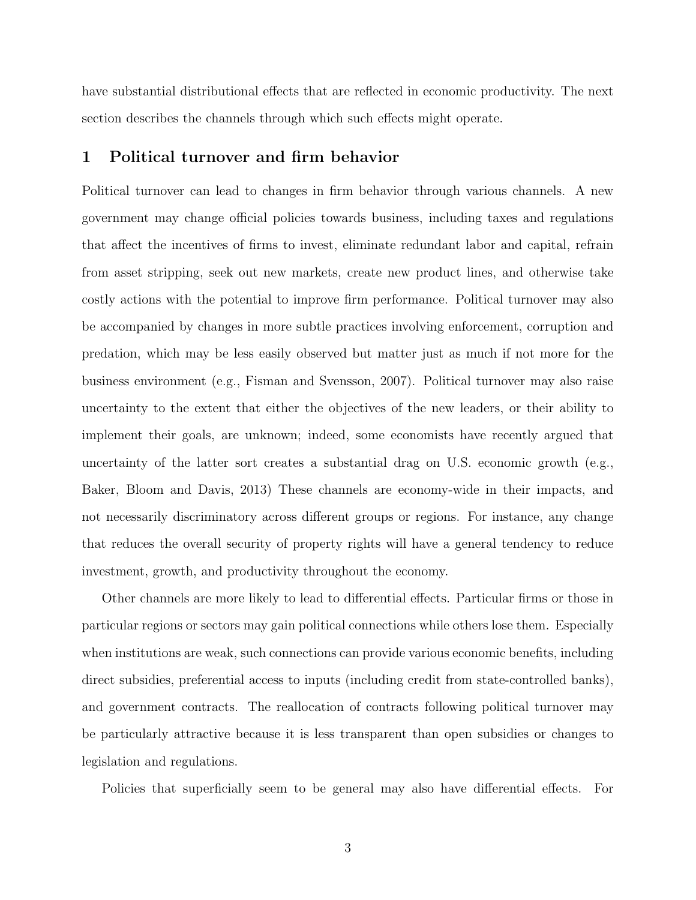have substantial distributional effects that are reflected in economic productivity. The next section describes the channels through which such effects might operate.

# 1 Political turnover and firm behavior

Political turnover can lead to changes in firm behavior through various channels. A new government may change official policies towards business, including taxes and regulations that affect the incentives of firms to invest, eliminate redundant labor and capital, refrain from asset stripping, seek out new markets, create new product lines, and otherwise take costly actions with the potential to improve firm performance. Political turnover may also be accompanied by changes in more subtle practices involving enforcement, corruption and predation, which may be less easily observed but matter just as much if not more for the business environment (e.g., Fisman and Svensson, 2007). Political turnover may also raise uncertainty to the extent that either the objectives of the new leaders, or their ability to implement their goals, are unknown; indeed, some economists have recently argued that uncertainty of the latter sort creates a substantial drag on U.S. economic growth (e.g., Baker, Bloom and Davis, 2013) These channels are economy-wide in their impacts, and not necessarily discriminatory across different groups or regions. For instance, any change that reduces the overall security of property rights will have a general tendency to reduce investment, growth, and productivity throughout the economy.

Other channels are more likely to lead to differential effects. Particular firms or those in particular regions or sectors may gain political connections while others lose them. Especially when institutions are weak, such connections can provide various economic benefits, including direct subsidies, preferential access to inputs (including credit from state-controlled banks), and government contracts. The reallocation of contracts following political turnover may be particularly attractive because it is less transparent than open subsidies or changes to legislation and regulations.

Policies that superficially seem to be general may also have differential effects. For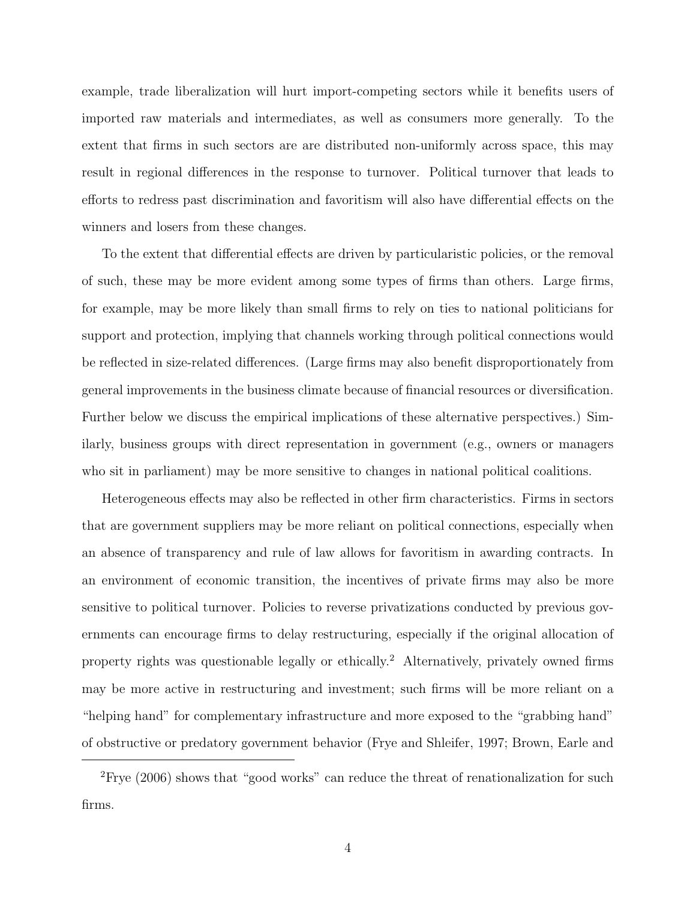example, trade liberalization will hurt import-competing sectors while it benefits users of imported raw materials and intermediates, as well as consumers more generally. To the extent that firms in such sectors are are distributed non-uniformly across space, this may result in regional differences in the response to turnover. Political turnover that leads to efforts to redress past discrimination and favoritism will also have differential effects on the winners and losers from these changes.

To the extent that differential effects are driven by particularistic policies, or the removal of such, these may be more evident among some types of firms than others. Large firms, for example, may be more likely than small firms to rely on ties to national politicians for support and protection, implying that channels working through political connections would be reflected in size-related differences. (Large firms may also benefit disproportionately from general improvements in the business climate because of financial resources or diversification. Further below we discuss the empirical implications of these alternative perspectives.) Similarly, business groups with direct representation in government (e.g., owners or managers who sit in parliament) may be more sensitive to changes in national political coalitions.

Heterogeneous effects may also be reflected in other firm characteristics. Firms in sectors that are government suppliers may be more reliant on political connections, especially when an absence of transparency and rule of law allows for favoritism in awarding contracts. In an environment of economic transition, the incentives of private firms may also be more sensitive to political turnover. Policies to reverse privatizations conducted by previous governments can encourage firms to delay restructuring, especially if the original allocation of property rights was questionable legally or ethically.<sup>2</sup> Alternatively, privately owned firms may be more active in restructuring and investment; such firms will be more reliant on a "helping hand" for complementary infrastructure and more exposed to the "grabbing hand" of obstructive or predatory government behavior (Frye and Shleifer, 1997; Brown, Earle and

<sup>&</sup>lt;sup>2</sup>Frye (2006) shows that "good works" can reduce the threat of renationalization for such firms.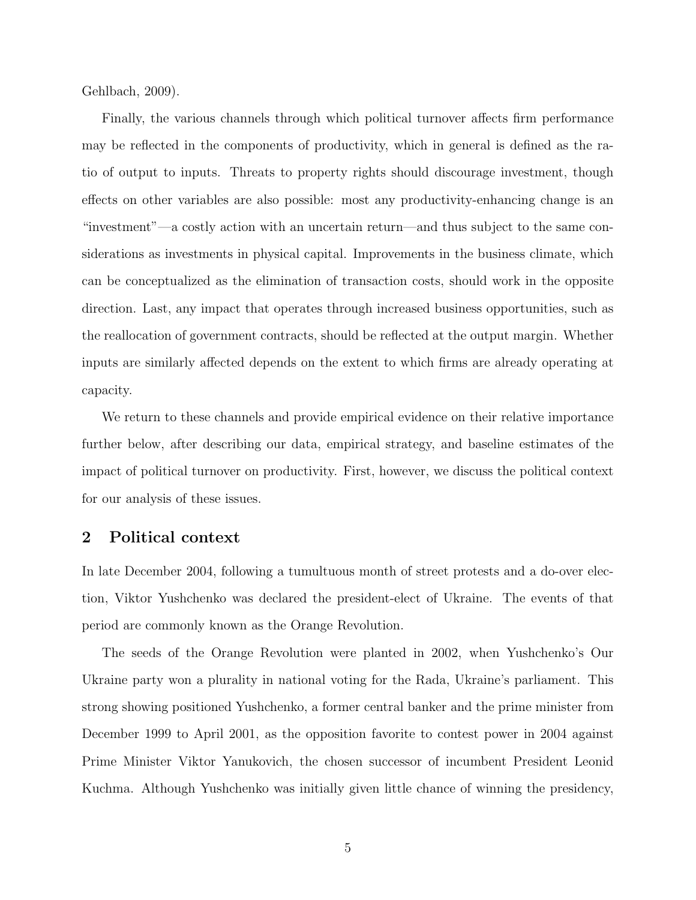Gehlbach, 2009).

Finally, the various channels through which political turnover affects firm performance may be reflected in the components of productivity, which in general is defined as the ratio of output to inputs. Threats to property rights should discourage investment, though effects on other variables are also possible: most any productivity-enhancing change is an "investment"—a costly action with an uncertain return—and thus subject to the same considerations as investments in physical capital. Improvements in the business climate, which can be conceptualized as the elimination of transaction costs, should work in the opposite direction. Last, any impact that operates through increased business opportunities, such as the reallocation of government contracts, should be reflected at the output margin. Whether inputs are similarly affected depends on the extent to which firms are already operating at capacity.

We return to these channels and provide empirical evidence on their relative importance further below, after describing our data, empirical strategy, and baseline estimates of the impact of political turnover on productivity. First, however, we discuss the political context for our analysis of these issues.

#### 2 Political context

In late December 2004, following a tumultuous month of street protests and a do-over election, Viktor Yushchenko was declared the president-elect of Ukraine. The events of that period are commonly known as the Orange Revolution.

The seeds of the Orange Revolution were planted in 2002, when Yushchenko's Our Ukraine party won a plurality in national voting for the Rada, Ukraine's parliament. This strong showing positioned Yushchenko, a former central banker and the prime minister from December 1999 to April 2001, as the opposition favorite to contest power in 2004 against Prime Minister Viktor Yanukovich, the chosen successor of incumbent President Leonid Kuchma. Although Yushchenko was initially given little chance of winning the presidency,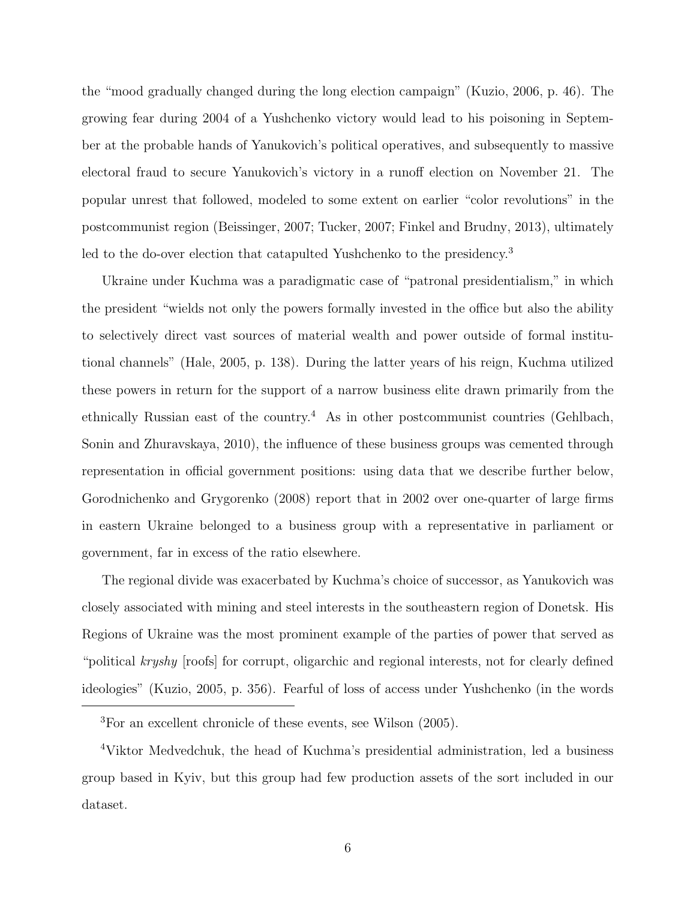the "mood gradually changed during the long election campaign" (Kuzio, 2006, p. 46). The growing fear during 2004 of a Yushchenko victory would lead to his poisoning in September at the probable hands of Yanukovich's political operatives, and subsequently to massive electoral fraud to secure Yanukovich's victory in a runoff election on November 21. The popular unrest that followed, modeled to some extent on earlier "color revolutions" in the postcommunist region (Beissinger, 2007; Tucker, 2007; Finkel and Brudny, 2013), ultimately led to the do-over election that catapulted Yushchenko to the presidency.<sup>3</sup>

Ukraine under Kuchma was a paradigmatic case of "patronal presidentialism," in which the president "wields not only the powers formally invested in the office but also the ability to selectively direct vast sources of material wealth and power outside of formal institutional channels" (Hale, 2005, p. 138). During the latter years of his reign, Kuchma utilized these powers in return for the support of a narrow business elite drawn primarily from the ethnically Russian east of the country.<sup>4</sup> As in other postcommunist countries (Gehlbach, Sonin and Zhuravskaya, 2010), the influence of these business groups was cemented through representation in official government positions: using data that we describe further below, Gorodnichenko and Grygorenko (2008) report that in 2002 over one-quarter of large firms in eastern Ukraine belonged to a business group with a representative in parliament or government, far in excess of the ratio elsewhere.

The regional divide was exacerbated by Kuchma's choice of successor, as Yanukovich was closely associated with mining and steel interests in the southeastern region of Donetsk. His Regions of Ukraine was the most prominent example of the parties of power that served as "political kryshy [roofs] for corrupt, oligarchic and regional interests, not for clearly defined ideologies" (Kuzio, 2005, p. 356). Fearful of loss of access under Yushchenko (in the words

<sup>3</sup>For an excellent chronicle of these events, see Wilson (2005).

<sup>4</sup>Viktor Medvedchuk, the head of Kuchma's presidential administration, led a business group based in Kyiv, but this group had few production assets of the sort included in our dataset.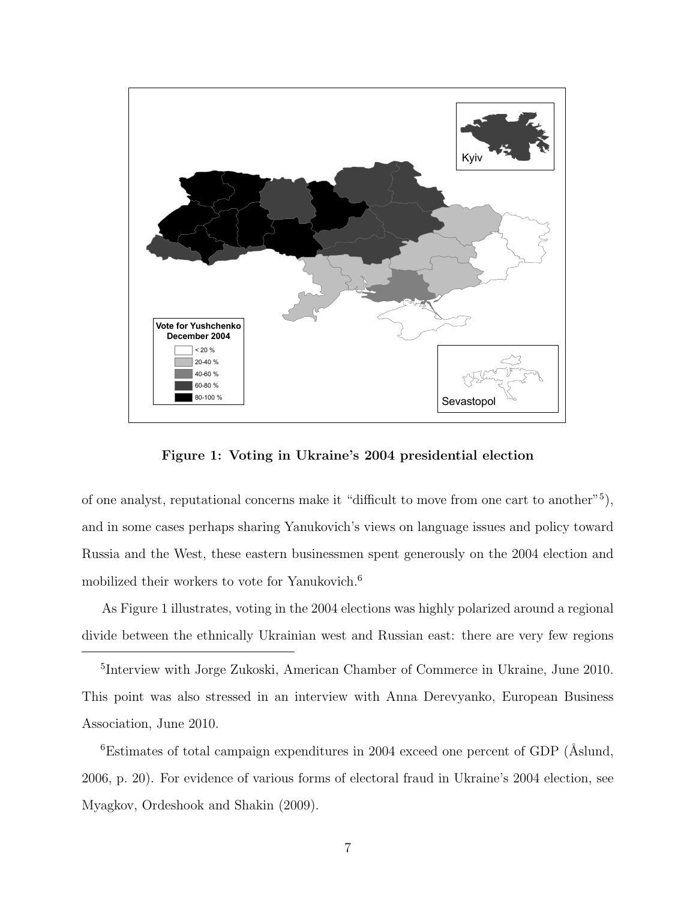

Figure 1: Voting in Ukraine's 2004 presidential election

of one analyst, reputational concerns make it "difficult to move from one cart to another"<sup>5</sup> ), and in some cases perhaps sharing Yanukovich's views on language issues and policy toward Russia and the West, these eastern businessmen spent generously on the 2004 election and mobilized their workers to vote for Yanukovich.<sup>6</sup>

As Figure 1 illustrates, voting in the 2004 elections was highly polarized around a regional divide between the ethnically Ukrainian west and Russian east: there are very few regions

5 Interview with Jorge Zukoski, American Chamber of Commerce in Ukraine, June 2010. This point was also stressed in an interview with Anna Derevyanko, European Business Association, June 2010.

 ${}^{6}$ Estimates of total campaign expenditures in 2004 exceed one percent of GDP ( $\AA$ slund, 2006, p. 20). For evidence of various forms of electoral fraud in Ukraine's 2004 election, see Myagkov, Ordeshook and Shakin (2009).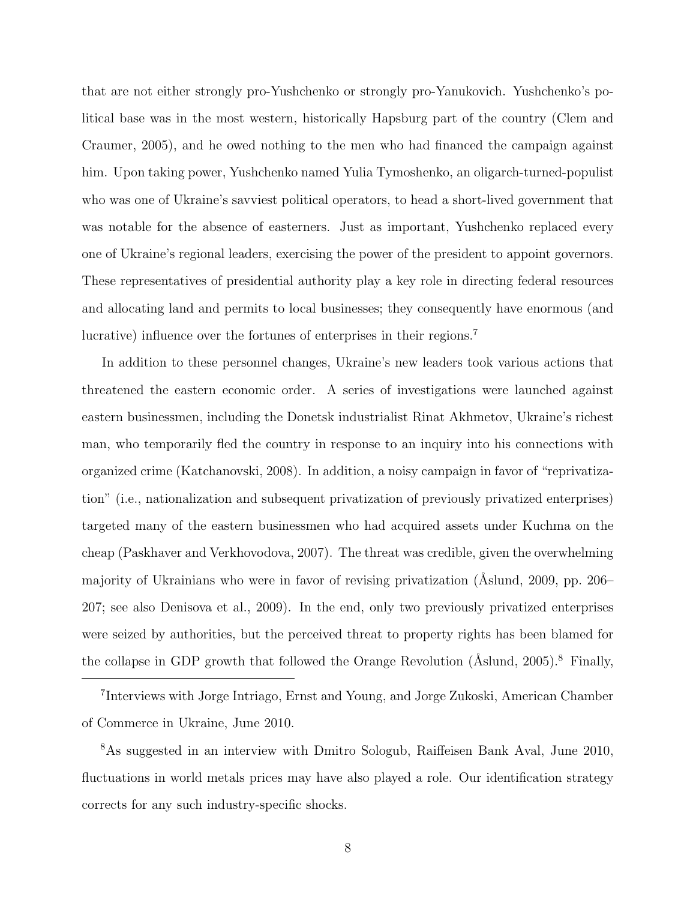that are not either strongly pro-Yushchenko or strongly pro-Yanukovich. Yushchenko's political base was in the most western, historically Hapsburg part of the country (Clem and Craumer, 2005), and he owed nothing to the men who had financed the campaign against him. Upon taking power, Yushchenko named Yulia Tymoshenko, an oligarch-turned-populist who was one of Ukraine's savviest political operators, to head a short-lived government that was notable for the absence of easterners. Just as important, Yushchenko replaced every one of Ukraine's regional leaders, exercising the power of the president to appoint governors. These representatives of presidential authority play a key role in directing federal resources and allocating land and permits to local businesses; they consequently have enormous (and lucrative) influence over the fortunes of enterprises in their regions.<sup>7</sup>

In addition to these personnel changes, Ukraine's new leaders took various actions that threatened the eastern economic order. A series of investigations were launched against eastern businessmen, including the Donetsk industrialist Rinat Akhmetov, Ukraine's richest man, who temporarily fled the country in response to an inquiry into his connections with organized crime (Katchanovski, 2008). In addition, a noisy campaign in favor of "reprivatization" (i.e., nationalization and subsequent privatization of previously privatized enterprises) targeted many of the eastern businessmen who had acquired assets under Kuchma on the cheap (Paskhaver and Verkhovodova, 2007). The threat was credible, given the overwhelming majority of Ukrainians who were in favor of revising privatization (Aslund, 2009, pp. 206– 207; see also Denisova et al., 2009). In the end, only two previously privatized enterprises were seized by authorities, but the perceived threat to property rights has been blamed for the collapse in GDP growth that followed the Orange Revolution ( $\text{\AA slund}, 2005$ ).<sup>8</sup> Finally,

7 Interviews with Jorge Intriago, Ernst and Young, and Jorge Zukoski, American Chamber of Commerce in Ukraine, June 2010.

<sup>8</sup>As suggested in an interview with Dmitro Sologub, Raiffeisen Bank Aval, June 2010, fluctuations in world metals prices may have also played a role. Our identification strategy corrects for any such industry-specific shocks.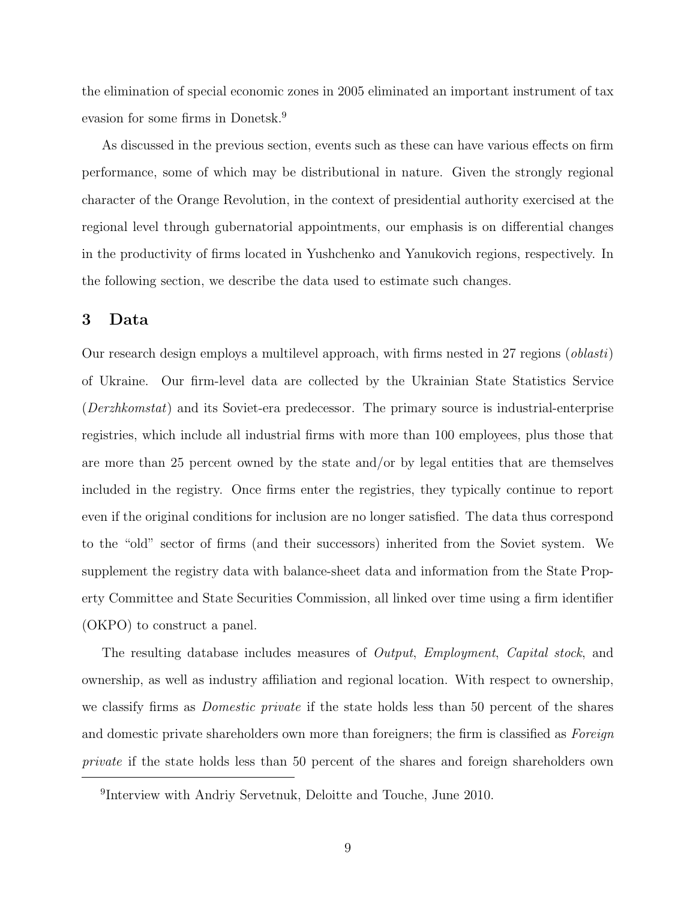the elimination of special economic zones in 2005 eliminated an important instrument of tax evasion for some firms in Donetsk.<sup>9</sup>

As discussed in the previous section, events such as these can have various effects on firm performance, some of which may be distributional in nature. Given the strongly regional character of the Orange Revolution, in the context of presidential authority exercised at the regional level through gubernatorial appointments, our emphasis is on differential changes in the productivity of firms located in Yushchenko and Yanukovich regions, respectively. In the following section, we describe the data used to estimate such changes.

# 3 Data

Our research design employs a multilevel approach, with firms nested in 27 regions (oblasti) of Ukraine. Our firm-level data are collected by the Ukrainian State Statistics Service (Derzhkomstat) and its Soviet-era predecessor. The primary source is industrial-enterprise registries, which include all industrial firms with more than 100 employees, plus those that are more than 25 percent owned by the state and/or by legal entities that are themselves included in the registry. Once firms enter the registries, they typically continue to report even if the original conditions for inclusion are no longer satisfied. The data thus correspond to the "old" sector of firms (and their successors) inherited from the Soviet system. We supplement the registry data with balance-sheet data and information from the State Property Committee and State Securities Commission, all linked over time using a firm identifier (OKPO) to construct a panel.

The resulting database includes measures of *Output, Employment, Capital stock*, and ownership, as well as industry affiliation and regional location. With respect to ownership, we classify firms as Domestic private if the state holds less than 50 percent of the shares and domestic private shareholders own more than foreigners; the firm is classified as Foreign private if the state holds less than 50 percent of the shares and foreign shareholders own

<sup>9</sup> Interview with Andriy Servetnuk, Deloitte and Touche, June 2010.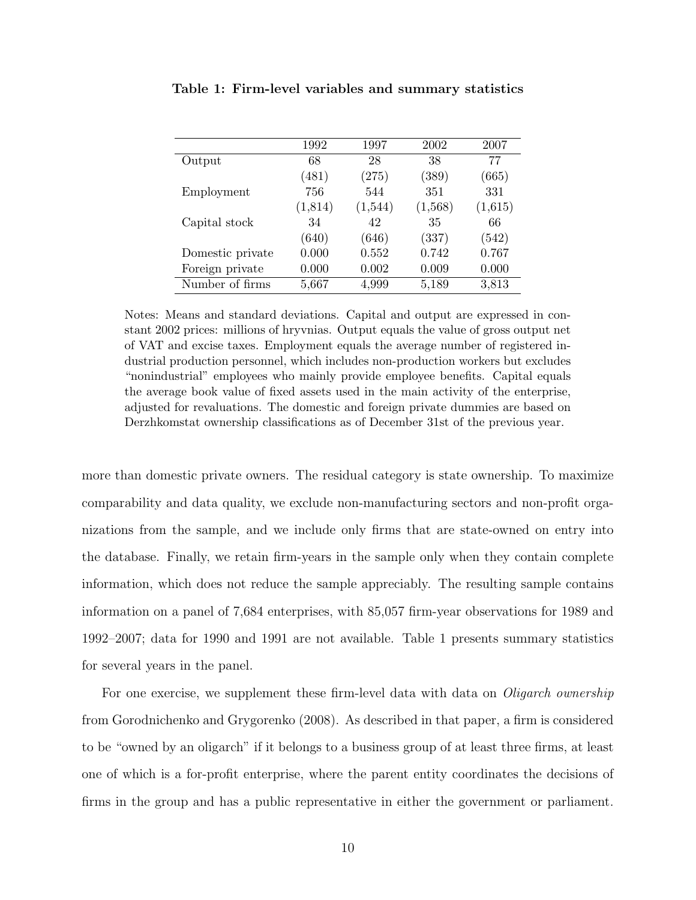|                  | 1992    | 1997    | 2002    | 2007    |
|------------------|---------|---------|---------|---------|
| Output           | 68      | 28      | 38      | 77      |
|                  | (481)   | (275)   | (389)   | (665)   |
| Employment       | 756     | 544     | 351     | 331     |
|                  | (1,814) | (1,544) | (1,568) | (1,615) |
| Capital stock    | 34      | 42      | 35      | 66      |
|                  | (640)   | (646)   | (337)   | (542)   |
| Domestic private | 0.000   | 0.552   | 0.742   | 0.767   |
| Foreign private  | 0.000   | 0.002   | 0.009   | 0.000   |
| Number of firms  | 5,667   | 4,999   | 5,189   | 3,813   |

Table 1: Firm-level variables and summary statistics

Notes: Means and standard deviations. Capital and output are expressed in constant 2002 prices: millions of hryvnias. Output equals the value of gross output net of VAT and excise taxes. Employment equals the average number of registered industrial production personnel, which includes non-production workers but excludes "nonindustrial" employees who mainly provide employee benefits. Capital equals the average book value of fixed assets used in the main activity of the enterprise, adjusted for revaluations. The domestic and foreign private dummies are based on Derzhkomstat ownership classifications as of December 31st of the previous year.

more than domestic private owners. The residual category is state ownership. To maximize comparability and data quality, we exclude non-manufacturing sectors and non-profit organizations from the sample, and we include only firms that are state-owned on entry into the database. Finally, we retain firm-years in the sample only when they contain complete information, which does not reduce the sample appreciably. The resulting sample contains information on a panel of 7,684 enterprises, with 85,057 firm-year observations for 1989 and 1992–2007; data for 1990 and 1991 are not available. Table 1 presents summary statistics for several years in the panel.

For one exercise, we supplement these firm-level data with data on *Oligarch ownership* from Gorodnichenko and Grygorenko (2008). As described in that paper, a firm is considered to be "owned by an oligarch" if it belongs to a business group of at least three firms, at least one of which is a for-profit enterprise, where the parent entity coordinates the decisions of firms in the group and has a public representative in either the government or parliament.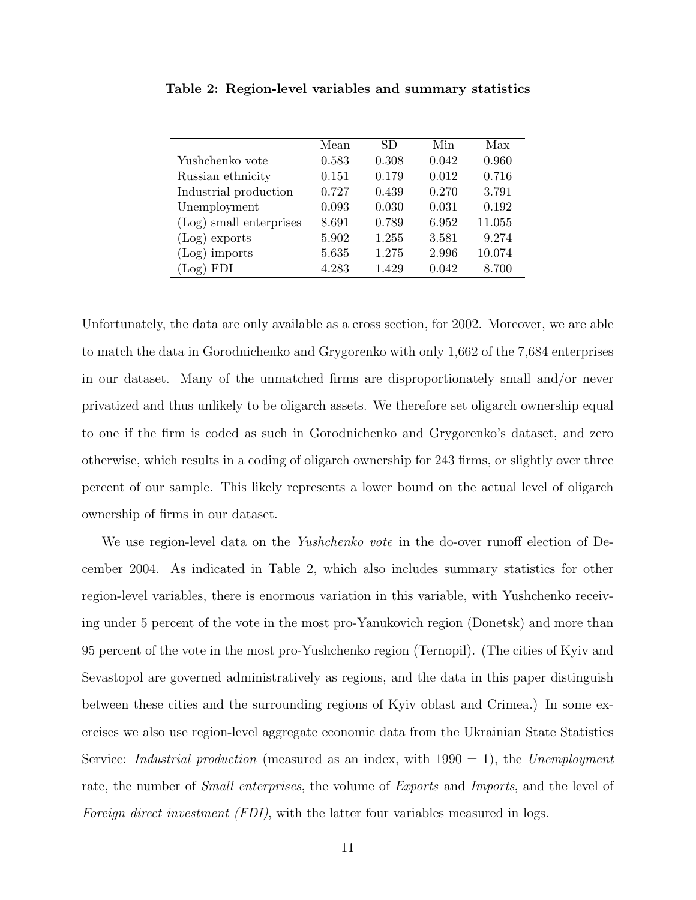|                         | Mean  | SD    | Min   | Max    |
|-------------------------|-------|-------|-------|--------|
| Yushchenko vote         | 0.583 | 0.308 | 0.042 | 0.960  |
| Russian ethnicity       | 0.151 | 0.179 | 0.012 | 0.716  |
| Industrial production   | 0.727 | 0.439 | 0.270 | 3.791  |
| Unemployment            | 0.093 | 0.030 | 0.031 | 0.192  |
| (Log) small enterprises | 8.691 | 0.789 | 6.952 | 11.055 |
| $(Log)$ exports         | 5.902 | 1.255 | 3.581 | 9.274  |
| $(Log)$ imports         | 5.635 | 1.275 | 2.996 | 10.074 |
| <b>FDI</b><br>(Log)     | 4.283 | 1.429 | 0.042 | 8.700  |

Table 2: Region-level variables and summary statistics

Unfortunately, the data are only available as a cross section, for 2002. Moreover, we are able to match the data in Gorodnichenko and Grygorenko with only 1,662 of the 7,684 enterprises in our dataset. Many of the unmatched firms are disproportionately small and/or never privatized and thus unlikely to be oligarch assets. We therefore set oligarch ownership equal to one if the firm is coded as such in Gorodnichenko and Grygorenko's dataset, and zero otherwise, which results in a coding of oligarch ownership for 243 firms, or slightly over three percent of our sample. This likely represents a lower bound on the actual level of oligarch ownership of firms in our dataset.

We use region-level data on the *Yushchenko vote* in the do-over runoff election of December 2004. As indicated in Table 2, which also includes summary statistics for other region-level variables, there is enormous variation in this variable, with Yushchenko receiving under 5 percent of the vote in the most pro-Yanukovich region (Donetsk) and more than 95 percent of the vote in the most pro-Yushchenko region (Ternopil). (The cities of Kyiv and Sevastopol are governed administratively as regions, and the data in this paper distinguish between these cities and the surrounding regions of Kyiv oblast and Crimea.) In some exercises we also use region-level aggregate economic data from the Ukrainian State Statistics Service: *Industrial production* (measured as an index, with  $1990 = 1$ ), the *Unemployment* rate, the number of Small enterprises, the volume of Exports and Imports, and the level of Foreign direct investment *(FDI)*, with the latter four variables measured in logs.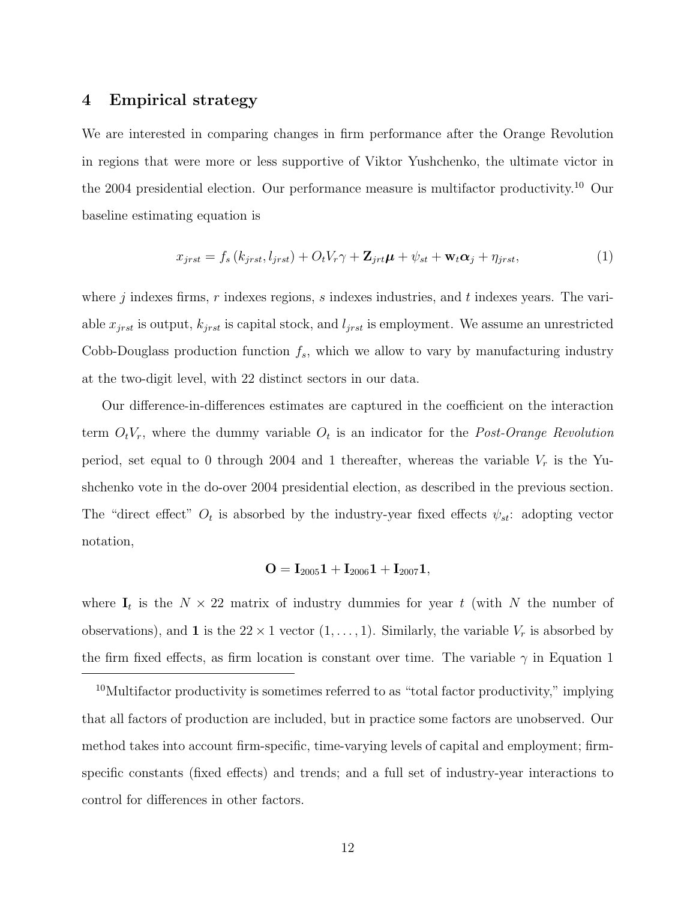# 4 Empirical strategy

We are interested in comparing changes in firm performance after the Orange Revolution in regions that were more or less supportive of Viktor Yushchenko, the ultimate victor in the 2004 presidential election. Our performance measure is multifactor productivity.<sup>10</sup> Our baseline estimating equation is

$$
x_{jrst} = f_s(k_{jrst}, l_{jrst}) + O_t V_r \gamma + \mathbf{Z}_{jrt} \boldsymbol{\mu} + \psi_{st} + \mathbf{w}_t \boldsymbol{\alpha}_j + \eta_{jrst}, \qquad (1)
$$

where j indexes firms,  $r$  indexes regions,  $s$  indexes industries, and  $t$  indexes years. The variable  $x_{jrst}$  is output,  $k_{jrst}$  is capital stock, and  $l_{jrst}$  is employment. We assume an unrestricted Cobb-Douglass production function  $f_s$ , which we allow to vary by manufacturing industry at the two-digit level, with 22 distinct sectors in our data.

Our difference-in-differences estimates are captured in the coefficient on the interaction term  $O_tV_r$ , where the dummy variable  $O_t$  is an indicator for the *Post-Orange Revolution* period, set equal to 0 through 2004 and 1 thereafter, whereas the variable  $V_r$  is the Yushchenko vote in the do-over 2004 presidential election, as described in the previous section. The "direct effect"  $O_t$  is absorbed by the industry-year fixed effects  $\psi_{st}$ : adopting vector notation,

$$
\mathbf{O} = \mathbf{I}_{2005} \mathbf{1} + \mathbf{I}_{2006} \mathbf{1} + \mathbf{I}_{2007} \mathbf{1},
$$

where  $I_t$  is the  $N \times 22$  matrix of industry dummies for year t (with N the number of observations), and 1 is the  $22 \times 1$  vector  $(1, \ldots, 1)$ . Similarly, the variable  $V_r$  is absorbed by the firm fixed effects, as firm location is constant over time. The variable  $\gamma$  in Equation 1

 $10$ Multifactor productivity is sometimes referred to as "total factor productivity," implying that all factors of production are included, but in practice some factors are unobserved. Our method takes into account firm-specific, time-varying levels of capital and employment; firmspecific constants (fixed effects) and trends; and a full set of industry-year interactions to control for differences in other factors.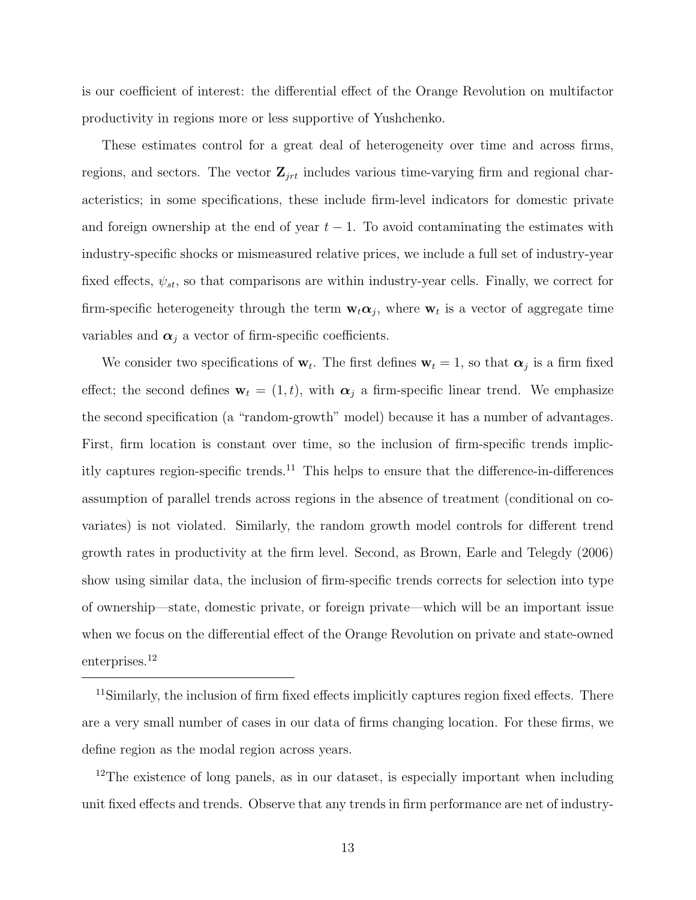is our coefficient of interest: the differential effect of the Orange Revolution on multifactor productivity in regions more or less supportive of Yushchenko.

These estimates control for a great deal of heterogeneity over time and across firms, regions, and sectors. The vector  $\mathbf{Z}_{jrt}$  includes various time-varying firm and regional characteristics; in some specifications, these include firm-level indicators for domestic private and foreign ownership at the end of year  $t-1$ . To avoid contaminating the estimates with industry-specific shocks or mismeasured relative prices, we include a full set of industry-year fixed effects,  $\psi_{st}$ , so that comparisons are within industry-year cells. Finally, we correct for firm-specific heterogeneity through the term  $\mathbf{w}_t \alpha_j$ , where  $\mathbf{w}_t$  is a vector of aggregate time variables and  $\alpha_j$  a vector of firm-specific coefficients.

We consider two specifications of  $\mathbf{w}_t$ . The first defines  $\mathbf{w}_t = 1$ , so that  $\alpha_j$  is a firm fixed effect; the second defines  $\mathbf{w}_t = (1, t)$ , with  $\alpha_j$  a firm-specific linear trend. We emphasize the second specification (a "random-growth" model) because it has a number of advantages. First, firm location is constant over time, so the inclusion of firm-specific trends implicitly captures region-specific trends.<sup>11</sup> This helps to ensure that the difference-in-differences assumption of parallel trends across regions in the absence of treatment (conditional on covariates) is not violated. Similarly, the random growth model controls for different trend growth rates in productivity at the firm level. Second, as Brown, Earle and Telegdy (2006) show using similar data, the inclusion of firm-specific trends corrects for selection into type of ownership—state, domestic private, or foreign private—which will be an important issue when we focus on the differential effect of the Orange Revolution on private and state-owned enterprises.<sup>12</sup>

 $12$ The existence of long panels, as in our dataset, is especially important when including unit fixed effects and trends. Observe that any trends in firm performance are net of industry-

<sup>&</sup>lt;sup>11</sup>Similarly, the inclusion of firm fixed effects implicitly captures region fixed effects. There are a very small number of cases in our data of firms changing location. For these firms, we define region as the modal region across years.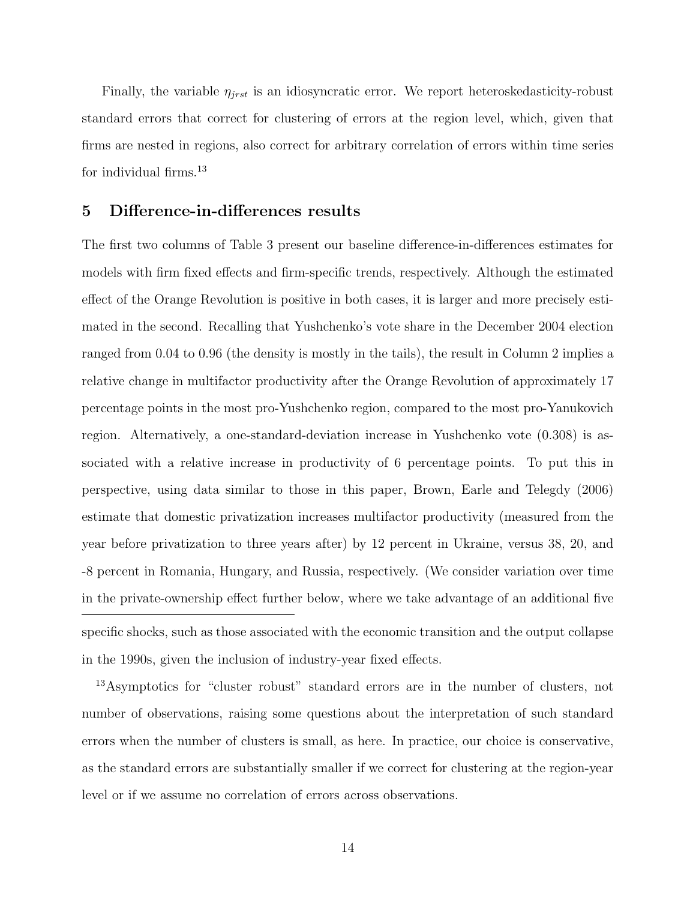Finally, the variable  $\eta_{jrst}$  is an idiosyncratic error. We report heteroskedasticity-robust standard errors that correct for clustering of errors at the region level, which, given that firms are nested in regions, also correct for arbitrary correlation of errors within time series for individual firms.<sup>13</sup>

### 5 Difference-in-differences results

The first two columns of Table 3 present our baseline difference-in-differences estimates for models with firm fixed effects and firm-specific trends, respectively. Although the estimated effect of the Orange Revolution is positive in both cases, it is larger and more precisely estimated in the second. Recalling that Yushchenko's vote share in the December 2004 election ranged from 0.04 to 0.96 (the density is mostly in the tails), the result in Column 2 implies a relative change in multifactor productivity after the Orange Revolution of approximately 17 percentage points in the most pro-Yushchenko region, compared to the most pro-Yanukovich region. Alternatively, a one-standard-deviation increase in Yushchenko vote (0.308) is associated with a relative increase in productivity of 6 percentage points. To put this in perspective, using data similar to those in this paper, Brown, Earle and Telegdy (2006) estimate that domestic privatization increases multifactor productivity (measured from the year before privatization to three years after) by 12 percent in Ukraine, versus 38, 20, and -8 percent in Romania, Hungary, and Russia, respectively. (We consider variation over time in the private-ownership effect further below, where we take advantage of an additional five specific shocks, such as those associated with the economic transition and the output collapse in the 1990s, given the inclusion of industry-year fixed effects.

<sup>13</sup>Asymptotics for "cluster robust" standard errors are in the number of clusters, not number of observations, raising some questions about the interpretation of such standard errors when the number of clusters is small, as here. In practice, our choice is conservative, as the standard errors are substantially smaller if we correct for clustering at the region-year level or if we assume no correlation of errors across observations.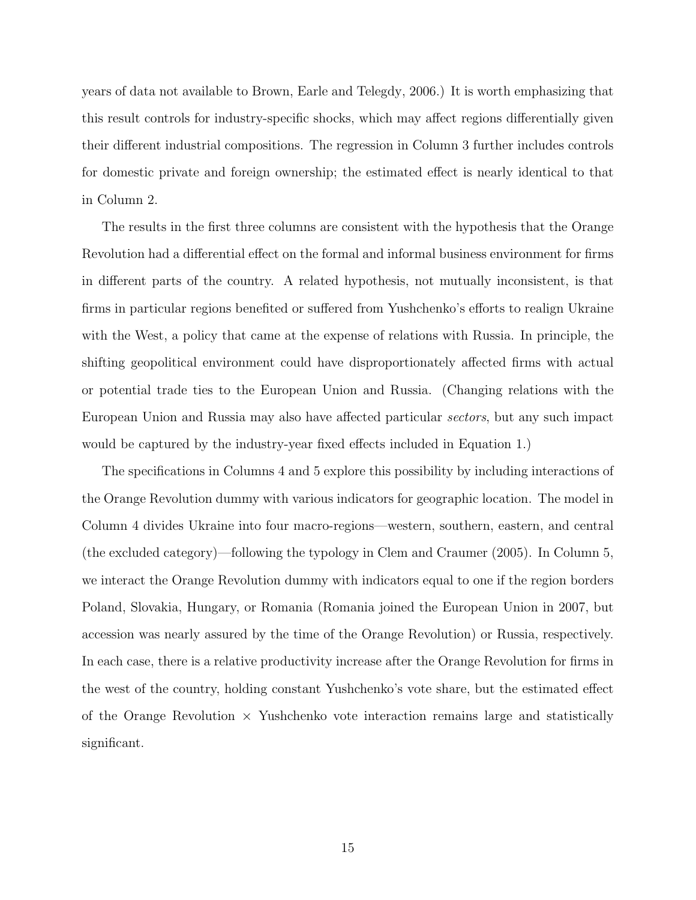years of data not available to Brown, Earle and Telegdy, 2006.) It is worth emphasizing that this result controls for industry-specific shocks, which may affect regions differentially given their different industrial compositions. The regression in Column 3 further includes controls for domestic private and foreign ownership; the estimated effect is nearly identical to that in Column 2.

The results in the first three columns are consistent with the hypothesis that the Orange Revolution had a differential effect on the formal and informal business environment for firms in different parts of the country. A related hypothesis, not mutually inconsistent, is that firms in particular regions benefited or suffered from Yushchenko's efforts to realign Ukraine with the West, a policy that came at the expense of relations with Russia. In principle, the shifting geopolitical environment could have disproportionately affected firms with actual or potential trade ties to the European Union and Russia. (Changing relations with the European Union and Russia may also have affected particular sectors, but any such impact would be captured by the industry-year fixed effects included in Equation 1.)

The specifications in Columns 4 and 5 explore this possibility by including interactions of the Orange Revolution dummy with various indicators for geographic location. The model in Column 4 divides Ukraine into four macro-regions—western, southern, eastern, and central (the excluded category)—following the typology in Clem and Craumer (2005). In Column 5, we interact the Orange Revolution dummy with indicators equal to one if the region borders Poland, Slovakia, Hungary, or Romania (Romania joined the European Union in 2007, but accession was nearly assured by the time of the Orange Revolution) or Russia, respectively. In each case, there is a relative productivity increase after the Orange Revolution for firms in the west of the country, holding constant Yushchenko's vote share, but the estimated effect of the Orange Revolution  $\times$  Yushchenko vote interaction remains large and statistically significant.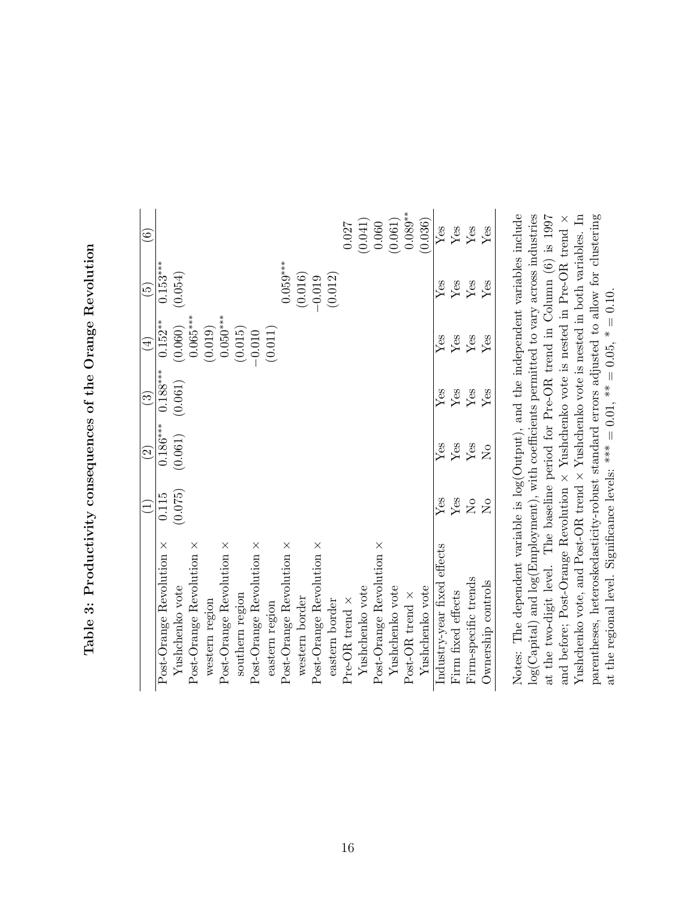| $-1$ , $-1$<br>١<br>ĺ                            |
|--------------------------------------------------|
| こくそく<br>(                                        |
| )<br>2110                                        |
| http://www.compannon.com/www.com/<br>ľ<br>ו<br>נ |
|                                                  |
| i.<br>.<br>E                                     |

|                                          |                | $\widehat{c}$   | $\widehat{\mathcal{E}}$ | $\widehat{4}$ | $\widetilde{5}$      | $\widehat{6}$ |
|------------------------------------------|----------------|-----------------|-------------------------|---------------|----------------------|---------------|
| Post-Orange Revolution ×                 | 0.115          | $0.186***$      | $0.188***$              | $0.152***$    | $0.153***$           |               |
| Yushchenko vote                          | (0.075)        | (0.061)         | (0.061)                 | (0.060)       | (0.054)              |               |
| Post-Orange Revolution ×                 |                |                 |                         | $0.065***$    |                      |               |
| western region                           |                |                 |                         | (0.019)       |                      |               |
| Post-Orange Revolution $\times$          |                |                 |                         | $0.050***$    |                      |               |
| southern region                          |                |                 |                         | (0.015)       |                      |               |
| $Post\text{-}Orange$ Revolution $\times$ |                |                 |                         | $-0.010$      |                      |               |
| eastern region                           |                |                 |                         | (0.011)       |                      |               |
| Post-Orange Revolution ×                 |                |                 |                         |               | $0.059***$           |               |
| western border                           |                |                 |                         |               | (0.016)              |               |
| $Post\text{-}Orange$ Revolution $\times$ |                |                 |                         |               | $-0.019$             |               |
| eastern border                           |                |                 |                         |               | (0.012)              |               |
| Pre-OR trend $\times$                    |                |                 |                         |               |                      | 0.027         |
| Yushchenko vote                          |                |                 |                         |               |                      | (0.041)       |
| $Post$ -Orange Revolution $\times$       |                |                 |                         |               |                      | 0.060         |
| Yushchenko vote                          |                |                 |                         |               |                      | (0.061)       |
| Post-OR trend $\times$                   |                |                 |                         |               |                      | $0.089***$    |
| Yushchenko vote                          |                |                 |                         |               |                      | (0.036)       |
| Industry-year fixed effects              | Yes            | Yes             | Yes                     | $Y$ es        | $Y$ es               | Yes           |
| Firm fixed effects                       | ${\rm Yes}$    | $Y_{\text{es}}$ | $_{\rm Yes}^{\rm Yes}$  | ${\rm Yes}$   | $\operatorname{Yes}$ | ${\rm Yes}$   |
| Firm-specific trends                     | $\overline{R}$ |                 |                         | Yes           | Yes                  | Yes           |
| Ownership controls                       | $\overline{R}$ | $\overline{S}$  | $Y$ es                  | $Y$ es        | Yes                  | Yes           |
|                                          |                |                 |                         |               |                      |               |

Notes: The dependent variable is log(Output), and the independent variables include  $log(Capital)$  and  $log(Employment)$ , with coefficients permitted to vary across industries parentheses, heteroskedasticity-robust standard errors adjusted to allow for clustering at the two-digit level. The baseline period for Pre-OR trend in Column (6) is 1997 at the two-digit level. The baseline period for Pre-OR trend in Column (6) is 1997 Yushchenko vote is nested in both variables. In parentheses, heteroskedasticity-robust standard errors adjusted to allow for clustering Notes: The dependent variable is log(Output), and the independent variables include log(Capital) and log(Employment), with coefficients permitted to vary across industries × $\times$  Yushchenko vote is nested in Pre-OR trend<br> $\ldots$ , at the regional level. Significance levels: \*\*\* = 0.01, \*\* = 0.05, \* = 0.10. at the regional level. Significance levels: \*\*\* =  $0.01$ , \*  $= 0.10$ ,  $* = 0.10$ . ××Yushchenko vote, and Post-OR trend and before; Post-Orange Revolution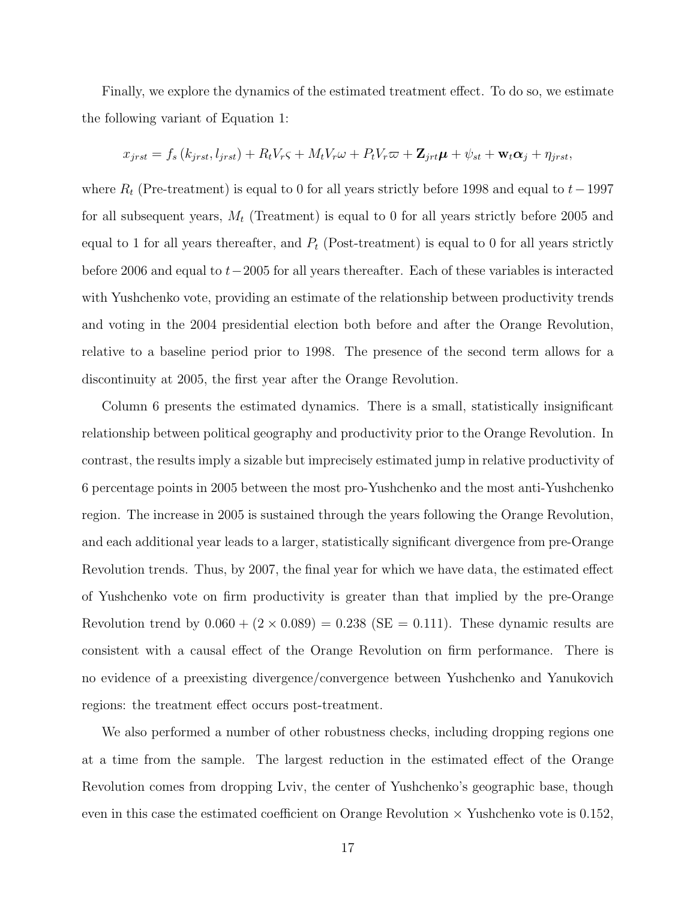Finally, we explore the dynamics of the estimated treatment effect. To do so, we estimate the following variant of Equation 1:

$$
x_{jrst} = f_s(k_{jrst}, l_{jrst}) + R_t V_r \varsigma + M_t V_r \omega + P_t V_r \varpi + \mathbf{Z}_{jrt} \boldsymbol{\mu} + \psi_{st} + \mathbf{w}_t \alpha_j + \eta_{jrst},
$$

where  $R_t$  (Pre-treatment) is equal to 0 for all years strictly before 1998 and equal to  $t-1997$ for all subsequent years,  $M_t$  (Treatment) is equal to 0 for all years strictly before 2005 and equal to 1 for all years thereafter, and  $P_t$  (Post-treatment) is equal to 0 for all years strictly before 2006 and equal to  $t-2005$  for all years thereafter. Each of these variables is interacted with Yushchenko vote, providing an estimate of the relationship between productivity trends and voting in the 2004 presidential election both before and after the Orange Revolution, relative to a baseline period prior to 1998. The presence of the second term allows for a discontinuity at 2005, the first year after the Orange Revolution.

Column 6 presents the estimated dynamics. There is a small, statistically insignificant relationship between political geography and productivity prior to the Orange Revolution. In contrast, the results imply a sizable but imprecisely estimated jump in relative productivity of 6 percentage points in 2005 between the most pro-Yushchenko and the most anti-Yushchenko region. The increase in 2005 is sustained through the years following the Orange Revolution, and each additional year leads to a larger, statistically significant divergence from pre-Orange Revolution trends. Thus, by 2007, the final year for which we have data, the estimated effect of Yushchenko vote on firm productivity is greater than that implied by the pre-Orange Revolution trend by  $0.060 + (2 \times 0.089) = 0.238$  (SE = 0.111). These dynamic results are consistent with a causal effect of the Orange Revolution on firm performance. There is no evidence of a preexisting divergence/convergence between Yushchenko and Yanukovich regions: the treatment effect occurs post-treatment.

We also performed a number of other robustness checks, including dropping regions one at a time from the sample. The largest reduction in the estimated effect of the Orange Revolution comes from dropping Lviv, the center of Yushchenko's geographic base, though even in this case the estimated coefficient on Orange Revolution  $\times$  Yushchenko vote is 0.152,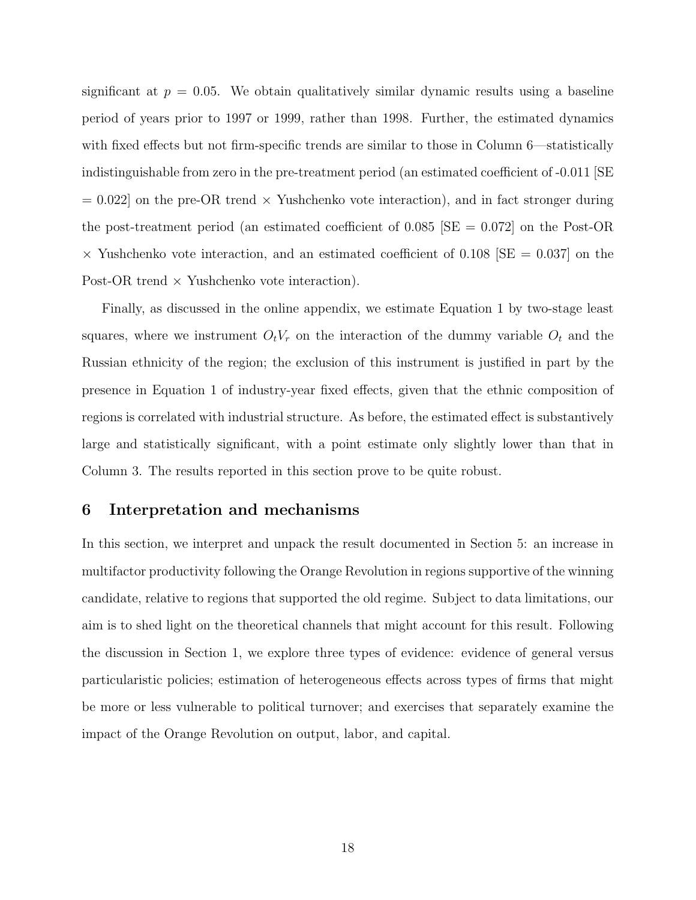significant at  $p = 0.05$ . We obtain qualitatively similar dynamic results using a baseline period of years prior to 1997 or 1999, rather than 1998. Further, the estimated dynamics with fixed effects but not firm-specific trends are similar to those in Column 6—statistically indistinguishable from zero in the pre-treatment period (an estimated coefficient of -0.011 [SE  $= 0.022$  on the pre-OR trend  $\times$  Yushchenko vote interaction), and in fact stronger during the post-treatment period (an estimated coefficient of  $0.085$   $|SE = 0.072|$  on the Post-OR  $\times$  Yushchenko vote interaction, and an estimated coefficient of 0.108 [SE = 0.037] on the Post-OR trend  $\times$  Yushchenko vote interaction).

Finally, as discussed in the online appendix, we estimate Equation 1 by two-stage least squares, where we instrument  $O_tV_r$  on the interaction of the dummy variable  $O_t$  and the Russian ethnicity of the region; the exclusion of this instrument is justified in part by the presence in Equation 1 of industry-year fixed effects, given that the ethnic composition of regions is correlated with industrial structure. As before, the estimated effect is substantively large and statistically significant, with a point estimate only slightly lower than that in Column 3. The results reported in this section prove to be quite robust.

#### 6 Interpretation and mechanisms

In this section, we interpret and unpack the result documented in Section 5: an increase in multifactor productivity following the Orange Revolution in regions supportive of the winning candidate, relative to regions that supported the old regime. Subject to data limitations, our aim is to shed light on the theoretical channels that might account for this result. Following the discussion in Section 1, we explore three types of evidence: evidence of general versus particularistic policies; estimation of heterogeneous effects across types of firms that might be more or less vulnerable to political turnover; and exercises that separately examine the impact of the Orange Revolution on output, labor, and capital.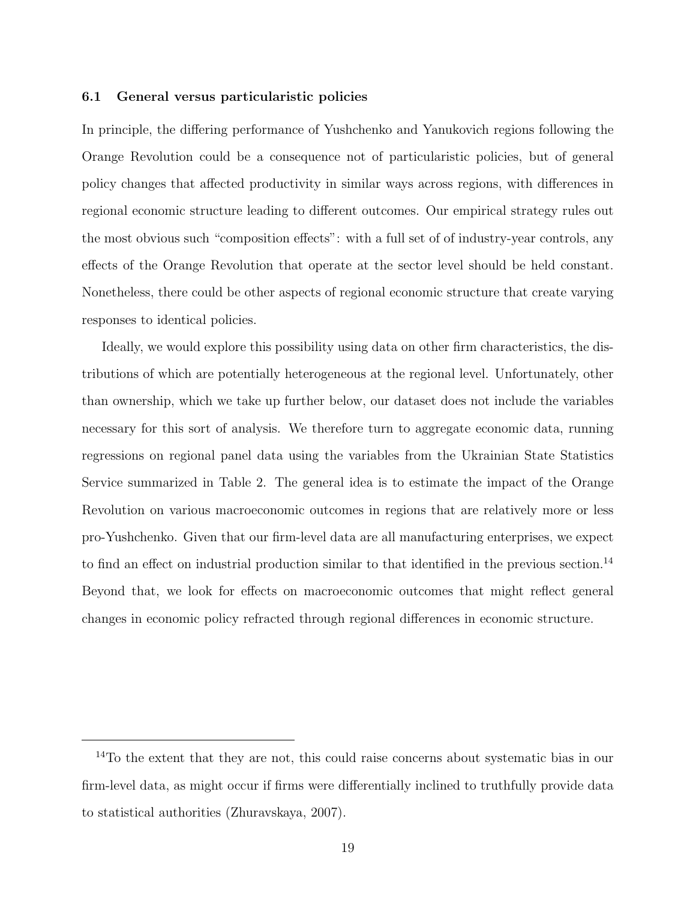#### 6.1 General versus particularistic policies

In principle, the differing performance of Yushchenko and Yanukovich regions following the Orange Revolution could be a consequence not of particularistic policies, but of general policy changes that affected productivity in similar ways across regions, with differences in regional economic structure leading to different outcomes. Our empirical strategy rules out the most obvious such "composition effects": with a full set of of industry-year controls, any effects of the Orange Revolution that operate at the sector level should be held constant. Nonetheless, there could be other aspects of regional economic structure that create varying responses to identical policies.

Ideally, we would explore this possibility using data on other firm characteristics, the distributions of which are potentially heterogeneous at the regional level. Unfortunately, other than ownership, which we take up further below, our dataset does not include the variables necessary for this sort of analysis. We therefore turn to aggregate economic data, running regressions on regional panel data using the variables from the Ukrainian State Statistics Service summarized in Table 2. The general idea is to estimate the impact of the Orange Revolution on various macroeconomic outcomes in regions that are relatively more or less pro-Yushchenko. Given that our firm-level data are all manufacturing enterprises, we expect to find an effect on industrial production similar to that identified in the previous section.<sup>14</sup> Beyond that, we look for effects on macroeconomic outcomes that might reflect general changes in economic policy refracted through regional differences in economic structure.

<sup>14</sup>To the extent that they are not, this could raise concerns about systematic bias in our firm-level data, as might occur if firms were differentially inclined to truthfully provide data to statistical authorities (Zhuravskaya, 2007).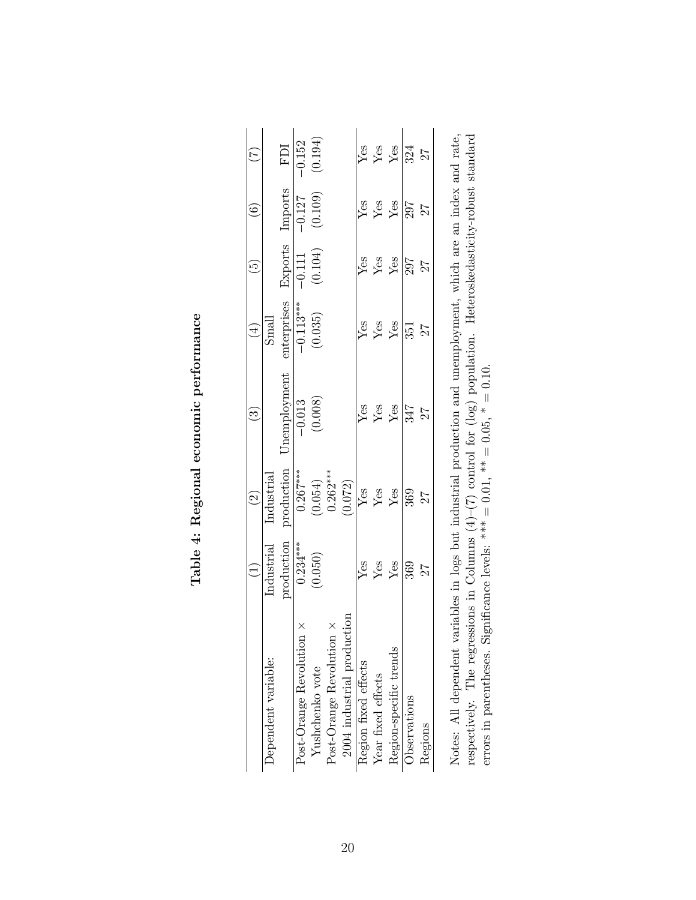|                                                                                                                 |                         | $\widehat{\mathfrak{S}}$           | $\widetilde{\mathbf{e}}$ | $(\pm)$                     | $\widetilde{\mathbb{G}}$ | $\widehat{\mathfrak{S}}$ | E                                                              |
|-----------------------------------------------------------------------------------------------------------------|-------------------------|------------------------------------|--------------------------|-----------------------------|--------------------------|--------------------------|----------------------------------------------------------------|
| Dependent variable:                                                                                             | Industrial              | <u>Industrial</u>                  |                          | Small                       |                          |                          |                                                                |
|                                                                                                                 | production              | $\operatorname{production}$        | Jnemployment             | enterprises                 | Exports                  | Imports                  | FDI                                                            |
| Post-Orange Revolution $\times$                                                                                 | $0.234***$              | $\overline{0.267}$ ***             |                          |                             |                          |                          | $-0.152$                                                       |
| Yushchenko vote                                                                                                 | (0.050)                 | $(0.054)$<br>0.262***              | $\frac{-0.013}{(0.008)}$ | $\frac{-0.113***}{(0.035)}$ | $\frac{-0.111}{(0.104)}$ | $\frac{-0.127}{(0.109)}$ | (0.194)                                                        |
| Post-Orange Revolution ×                                                                                        |                         |                                    |                          |                             |                          |                          |                                                                |
| 2004 industrial production                                                                                      |                         | (0.072)                            |                          |                             |                          |                          |                                                                |
| Region fixed effects                                                                                            |                         |                                    |                          |                             |                          |                          |                                                                |
| Year fixed effects                                                                                              | $\frac{V}{Y}$ es<br>Yes | $\sqrt{\frac{3}{2}}$ $\frac{3}{2}$ | Yes<br>Yes<br>Yes        | yes<br>Yes<br>Yes           | $\frac{V}{Y}$ es<br>Yes  | yes<br>Yes<br>Yes        |                                                                |
| Region-specific trends                                                                                          |                         |                                    |                          |                             |                          |                          | $\frac{\text{Yes}}{\text{Yes}}$ $\frac{\text{Yes}}{\text{Si}}$ |
| Observations                                                                                                    | $\frac{25}{360}$        | 369                                | $\frac{12}{347}$         | 351                         | 297                      | $\frac{25}{27}$          |                                                                |
| Regions                                                                                                         |                         | 27                                 |                          | 27                          | 27                       |                          |                                                                |
| Notes: All dependent variables in logs but industrial production and unemployment, which are an index and rate, |                         |                                    |                          |                             |                          |                          |                                                                |

| くく こうこうこうしょう<br>- 200000000 |  |
|-----------------------------|--|
| くらい こくこく                    |  |
|                             |  |

respectively. The regressions in Columns  $(4)$ –(7) control for (log) population. Heteroskedasticity-robust standard errors in parentheses. Significance levels: \*\*\* = 0.01, \*\* = 0.05, \* = 0.10. Notes: All dependent variables in logs but industrial production and unemployment, which are an index and rate, respectively. The regressions in Columns (4)–(7) control for (log) population. Heteroskedasticity-robust standard errors in parentheses. Significance levels: \*\*\* =  $0.01$ ,  $\ast$  =  $0.10$ ,  $\ast$  =  $0.10$ ,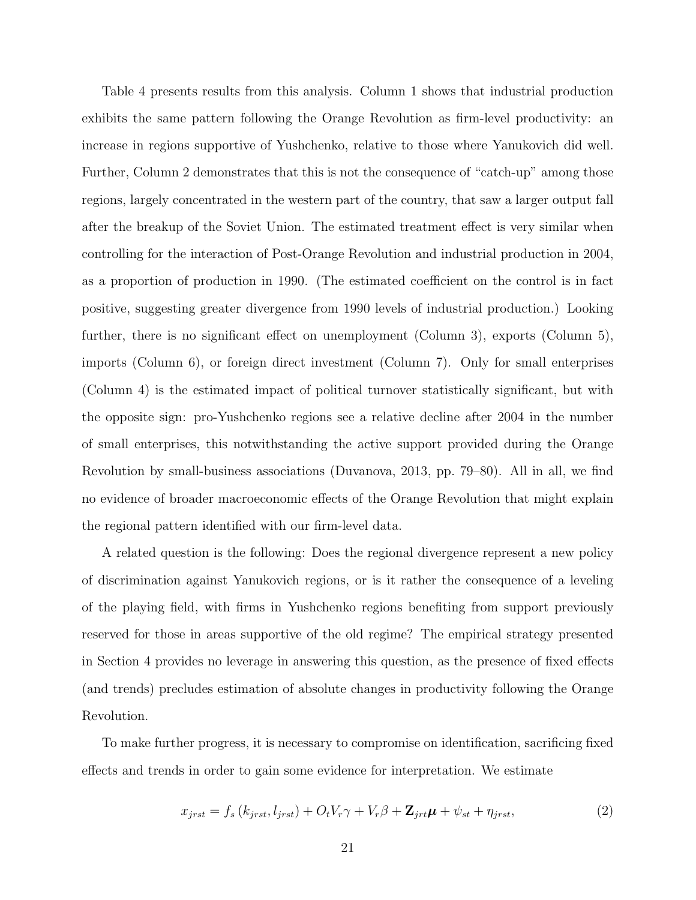Table 4 presents results from this analysis. Column 1 shows that industrial production exhibits the same pattern following the Orange Revolution as firm-level productivity: an increase in regions supportive of Yushchenko, relative to those where Yanukovich did well. Further, Column 2 demonstrates that this is not the consequence of "catch-up" among those regions, largely concentrated in the western part of the country, that saw a larger output fall after the breakup of the Soviet Union. The estimated treatment effect is very similar when controlling for the interaction of Post-Orange Revolution and industrial production in 2004, as a proportion of production in 1990. (The estimated coefficient on the control is in fact positive, suggesting greater divergence from 1990 levels of industrial production.) Looking further, there is no significant effect on unemployment (Column 3), exports (Column 5), imports (Column 6), or foreign direct investment (Column 7). Only for small enterprises (Column 4) is the estimated impact of political turnover statistically significant, but with the opposite sign: pro-Yushchenko regions see a relative decline after 2004 in the number of small enterprises, this notwithstanding the active support provided during the Orange Revolution by small-business associations (Duvanova, 2013, pp. 79–80). All in all, we find no evidence of broader macroeconomic effects of the Orange Revolution that might explain the regional pattern identified with our firm-level data.

A related question is the following: Does the regional divergence represent a new policy of discrimination against Yanukovich regions, or is it rather the consequence of a leveling of the playing field, with firms in Yushchenko regions benefiting from support previously reserved for those in areas supportive of the old regime? The empirical strategy presented in Section 4 provides no leverage in answering this question, as the presence of fixed effects (and trends) precludes estimation of absolute changes in productivity following the Orange Revolution.

To make further progress, it is necessary to compromise on identification, sacrificing fixed effects and trends in order to gain some evidence for interpretation. We estimate

$$
x_{jrst} = f_s(k_{jrst}, l_{jrst}) + O_t V_r \gamma + V_r \beta + \mathbf{Z}_{jrt} \boldsymbol{\mu} + \psi_{st} + \eta_{jrst}, \qquad (2)
$$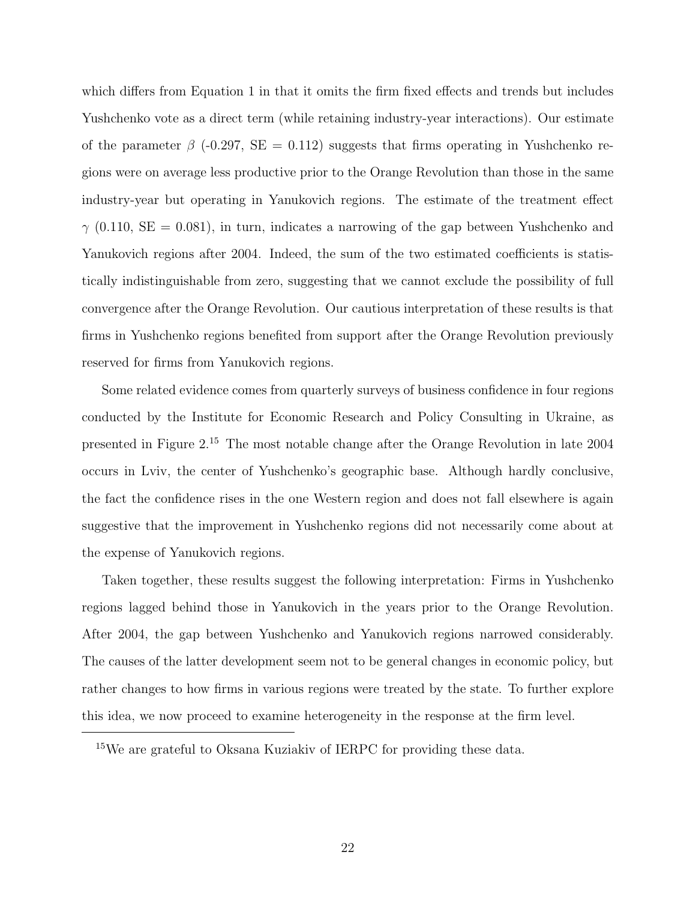which differs from Equation 1 in that it omits the firm fixed effects and trends but includes Yushchenko vote as a direct term (while retaining industry-year interactions). Our estimate of the parameter  $\beta$  (-0.297, SE = 0.112) suggests that firms operating in Yushchenko regions were on average less productive prior to the Orange Revolution than those in the same industry-year but operating in Yanukovich regions. The estimate of the treatment effect  $\gamma$  (0.110, SE = 0.081), in turn, indicates a narrowing of the gap between Yushchenko and Yanukovich regions after 2004. Indeed, the sum of the two estimated coefficients is statistically indistinguishable from zero, suggesting that we cannot exclude the possibility of full convergence after the Orange Revolution. Our cautious interpretation of these results is that firms in Yushchenko regions benefited from support after the Orange Revolution previously reserved for firms from Yanukovich regions.

Some related evidence comes from quarterly surveys of business confidence in four regions conducted by the Institute for Economic Research and Policy Consulting in Ukraine, as presented in Figure 2.<sup>15</sup> The most notable change after the Orange Revolution in late 2004 occurs in Lviv, the center of Yushchenko's geographic base. Although hardly conclusive, the fact the confidence rises in the one Western region and does not fall elsewhere is again suggestive that the improvement in Yushchenko regions did not necessarily come about at the expense of Yanukovich regions.

Taken together, these results suggest the following interpretation: Firms in Yushchenko regions lagged behind those in Yanukovich in the years prior to the Orange Revolution. After 2004, the gap between Yushchenko and Yanukovich regions narrowed considerably. The causes of the latter development seem not to be general changes in economic policy, but rather changes to how firms in various regions were treated by the state. To further explore this idea, we now proceed to examine heterogeneity in the response at the firm level.

<sup>15</sup>We are grateful to Oksana Kuziakiv of IERPC for providing these data.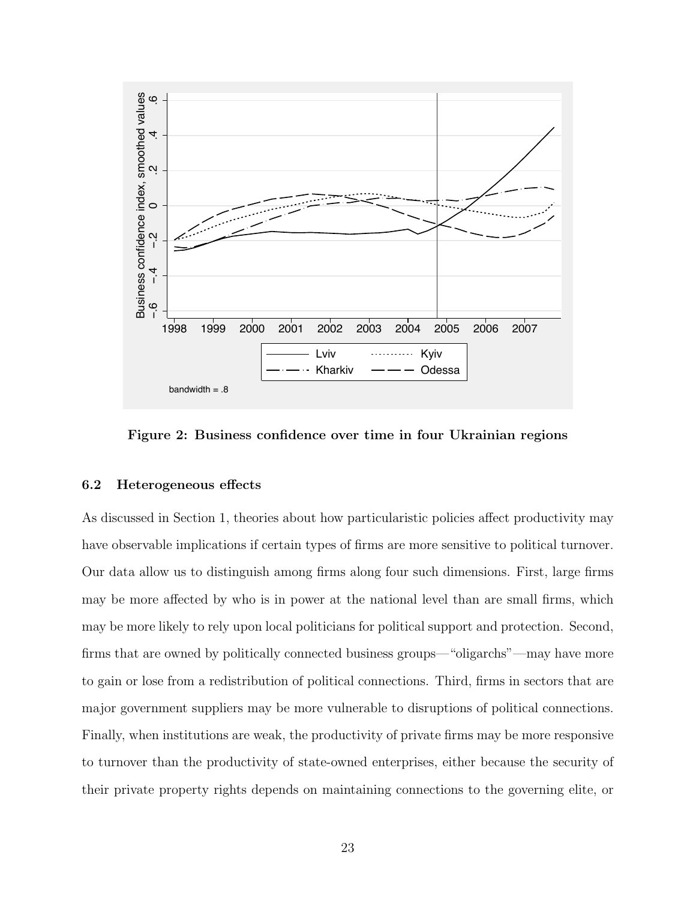

Figure 2: Business confidence over time in four Ukrainian regions

#### 6.2 Heterogeneous effects

As discussed in Section 1, theories about how particularistic policies affect productivity may have observable implications if certain types of firms are more sensitive to political turnover. Our data allow us to distinguish among firms along four such dimensions. First, large firms may be more affected by who is in power at the national level than are small firms, which may be more likely to rely upon local politicians for political support and protection. Second, firms that are owned by politically connected business groups—"oligarchs"—may have more to gain or lose from a redistribution of political connections. Third, firms in sectors that are major government suppliers may be more vulnerable to disruptions of political connections. Finally, when institutions are weak, the productivity of private firms may be more responsive to turnover than the productivity of state-owned enterprises, either because the security of their private property rights depends on maintaining connections to the governing elite, or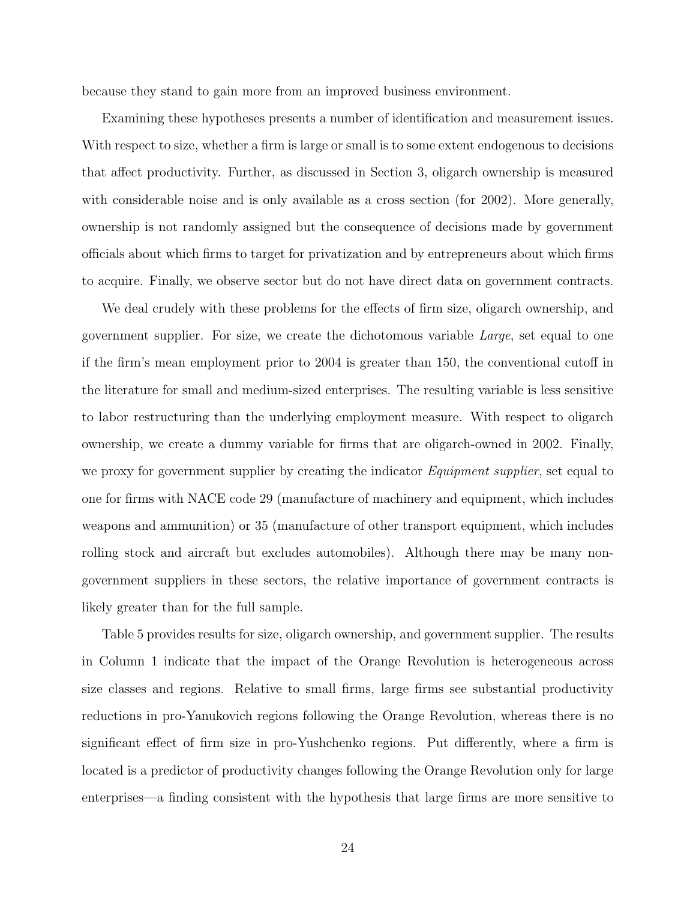because they stand to gain more from an improved business environment.

Examining these hypotheses presents a number of identification and measurement issues. With respect to size, whether a firm is large or small is to some extent endogenous to decisions that affect productivity. Further, as discussed in Section 3, oligarch ownership is measured with considerable noise and is only available as a cross section (for 2002). More generally, ownership is not randomly assigned but the consequence of decisions made by government officials about which firms to target for privatization and by entrepreneurs about which firms to acquire. Finally, we observe sector but do not have direct data on government contracts.

We deal crudely with these problems for the effects of firm size, oligarch ownership, and government supplier. For size, we create the dichotomous variable Large, set equal to one if the firm's mean employment prior to 2004 is greater than 150, the conventional cutoff in the literature for small and medium-sized enterprises. The resulting variable is less sensitive to labor restructuring than the underlying employment measure. With respect to oligarch ownership, we create a dummy variable for firms that are oligarch-owned in 2002. Finally, we proxy for government supplier by creating the indicator *Equipment supplier*, set equal to one for firms with NACE code 29 (manufacture of machinery and equipment, which includes weapons and ammunition) or 35 (manufacture of other transport equipment, which includes rolling stock and aircraft but excludes automobiles). Although there may be many nongovernment suppliers in these sectors, the relative importance of government contracts is likely greater than for the full sample.

Table 5 provides results for size, oligarch ownership, and government supplier. The results in Column 1 indicate that the impact of the Orange Revolution is heterogeneous across size classes and regions. Relative to small firms, large firms see substantial productivity reductions in pro-Yanukovich regions following the Orange Revolution, whereas there is no significant effect of firm size in pro-Yushchenko regions. Put differently, where a firm is located is a predictor of productivity changes following the Orange Revolution only for large enterprises—a finding consistent with the hypothesis that large firms are more sensitive to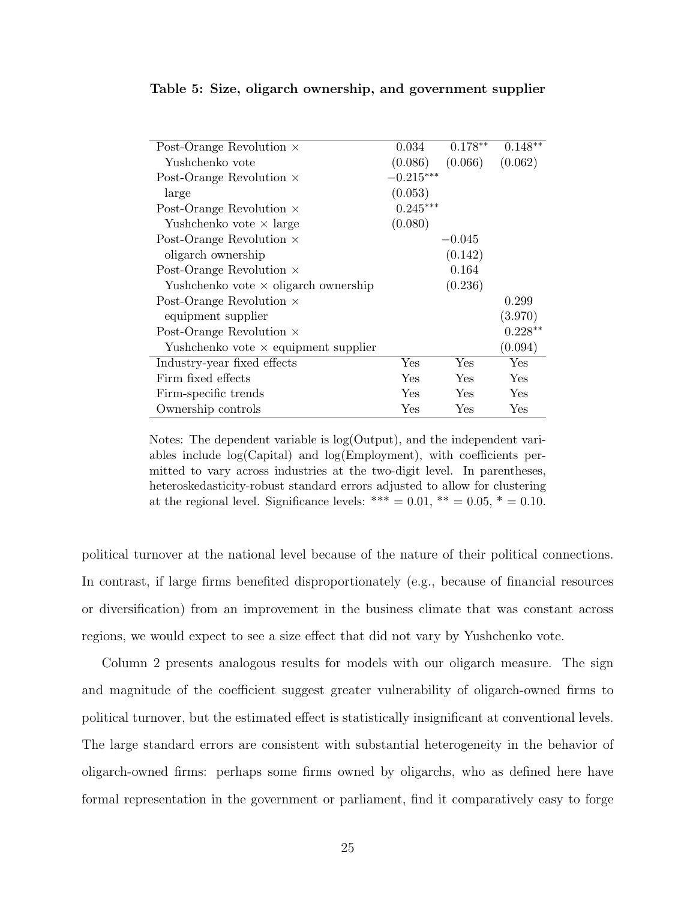| Post-Orange Revolution $\times$             | 0.034       | $0.178**$ | $0.148**$ |
|---------------------------------------------|-------------|-----------|-----------|
| Yushchenko vote                             | (0.086)     | (0.066)   | (0.062)   |
| Post-Orange Revolution $\times$             | $-0.215***$ |           |           |
| large                                       | (0.053)     |           |           |
| Post-Orange Revolution $\times$             | $0.245***$  |           |           |
| Yushchenko vote $\times$ large              | (0.080)     |           |           |
| Post-Orange Revolution $\times$             |             | $-0.045$  |           |
| oligarch ownership                          |             | (0.142)   |           |
| Post-Orange Revolution $\times$             |             | 0.164     |           |
| Yushchenko vote $\times$ oligarch ownership |             | (0.236)   |           |
| Post-Orange Revolution $\times$             |             |           | 0.299     |
| equipment supplier                          |             |           | (3.970)   |
| Post-Orange Revolution $\times$             |             |           | $0.228**$ |
| Yushchenko vote $\times$ equipment supplier |             |           | (0.094)   |
| Industry-year fixed effects                 | Yes         | Yes       | Yes       |
| Firm fixed effects                          | Yes         | Yes       | Yes       |
| Firm-specific trends                        | Yes         | Yes       | Yes       |
| Ownership controls                          | Yes         | Yes       | Yes       |

Table 5: Size, oligarch ownership, and government supplier

Notes: The dependent variable is log(Output), and the independent variables include log(Capital) and log(Employment), with coefficients permitted to vary across industries at the two-digit level. In parentheses, heteroskedasticity-robust standard errors adjusted to allow for clustering at the regional level. Significance levels: \*\*\* =  $0.01$ , \*\* =  $0.05$ , \* =  $0.10$ .

political turnover at the national level because of the nature of their political connections. In contrast, if large firms benefited disproportionately (e.g., because of financial resources or diversification) from an improvement in the business climate that was constant across regions, we would expect to see a size effect that did not vary by Yushchenko vote.

Column 2 presents analogous results for models with our oligarch measure. The sign and magnitude of the coefficient suggest greater vulnerability of oligarch-owned firms to political turnover, but the estimated effect is statistically insignificant at conventional levels. The large standard errors are consistent with substantial heterogeneity in the behavior of oligarch-owned firms: perhaps some firms owned by oligarchs, who as defined here have formal representation in the government or parliament, find it comparatively easy to forge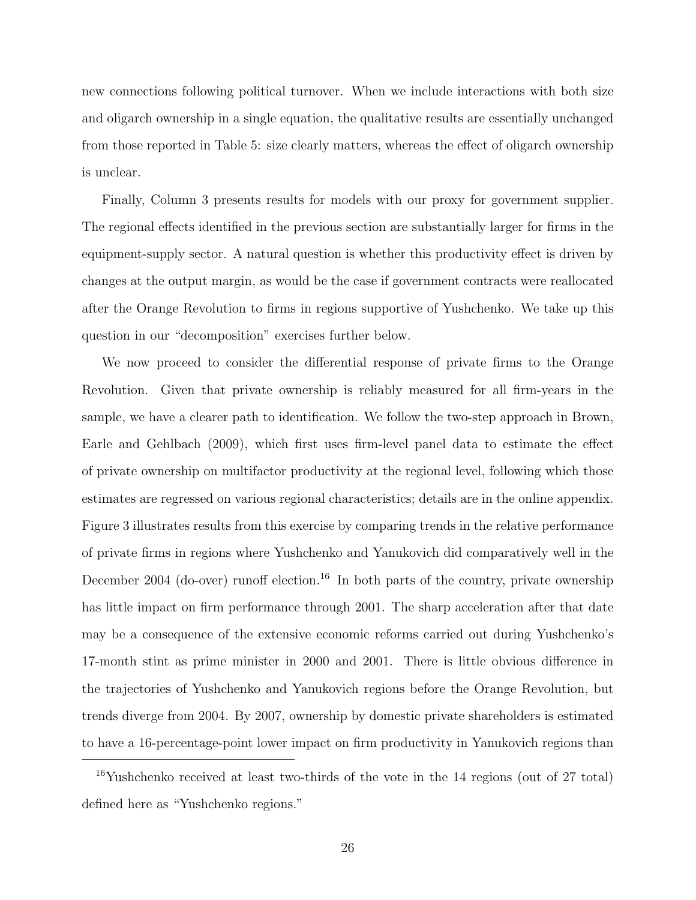new connections following political turnover. When we include interactions with both size and oligarch ownership in a single equation, the qualitative results are essentially unchanged from those reported in Table 5: size clearly matters, whereas the effect of oligarch ownership is unclear.

Finally, Column 3 presents results for models with our proxy for government supplier. The regional effects identified in the previous section are substantially larger for firms in the equipment-supply sector. A natural question is whether this productivity effect is driven by changes at the output margin, as would be the case if government contracts were reallocated after the Orange Revolution to firms in regions supportive of Yushchenko. We take up this question in our "decomposition" exercises further below.

We now proceed to consider the differential response of private firms to the Orange Revolution. Given that private ownership is reliably measured for all firm-years in the sample, we have a clearer path to identification. We follow the two-step approach in Brown, Earle and Gehlbach (2009), which first uses firm-level panel data to estimate the effect of private ownership on multifactor productivity at the regional level, following which those estimates are regressed on various regional characteristics; details are in the online appendix. Figure 3 illustrates results from this exercise by comparing trends in the relative performance of private firms in regions where Yushchenko and Yanukovich did comparatively well in the December 2004 (do-over) runoff election.<sup>16</sup> In both parts of the country, private ownership has little impact on firm performance through 2001. The sharp acceleration after that date may be a consequence of the extensive economic reforms carried out during Yushchenko's 17-month stint as prime minister in 2000 and 2001. There is little obvious difference in the trajectories of Yushchenko and Yanukovich regions before the Orange Revolution, but trends diverge from 2004. By 2007, ownership by domestic private shareholders is estimated to have a 16-percentage-point lower impact on firm productivity in Yanukovich regions than

 $16$ Yushchenko received at least two-thirds of the vote in the 14 regions (out of 27 total) defined here as "Yushchenko regions."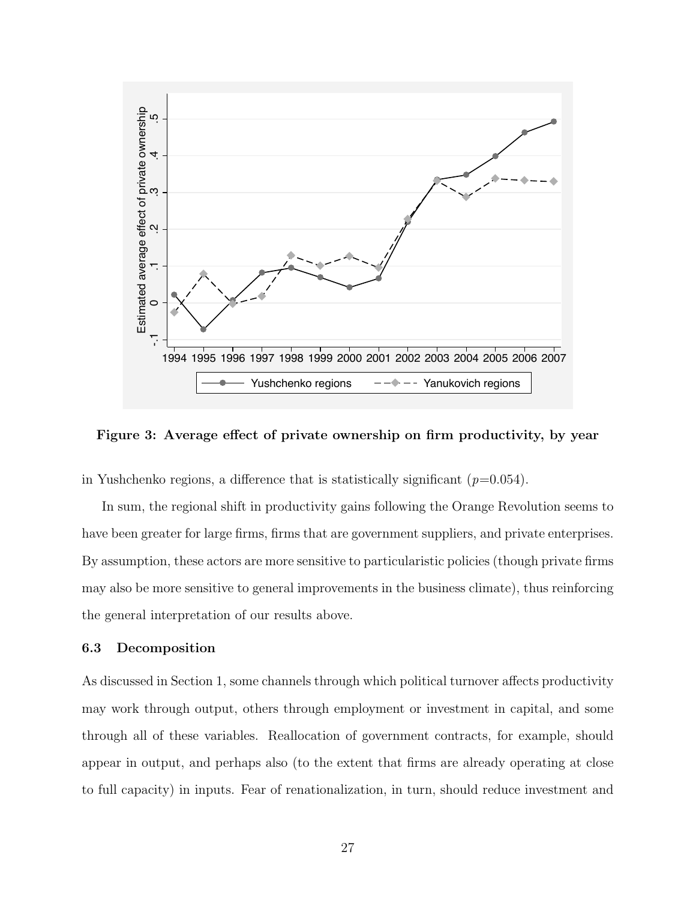

Figure 3: Average effect of private ownership on firm productivity, by year

in Yushchenko regions, a difference that is statistically significant  $(p=0.054)$ .

In sum, the regional shift in productivity gains following the Orange Revolution seems to have been greater for large firms, firms that are government suppliers, and private enterprises. By assumption, these actors are more sensitive to particularistic policies (though private firms may also be more sensitive to general improvements in the business climate), thus reinforcing the general interpretation of our results above.

#### 6.3 Decomposition

As discussed in Section 1, some channels through which political turnover affects productivity may work through output, others through employment or investment in capital, and some through all of these variables. Reallocation of government contracts, for example, should appear in output, and perhaps also (to the extent that firms are already operating at close to full capacity) in inputs. Fear of renationalization, in turn, should reduce investment and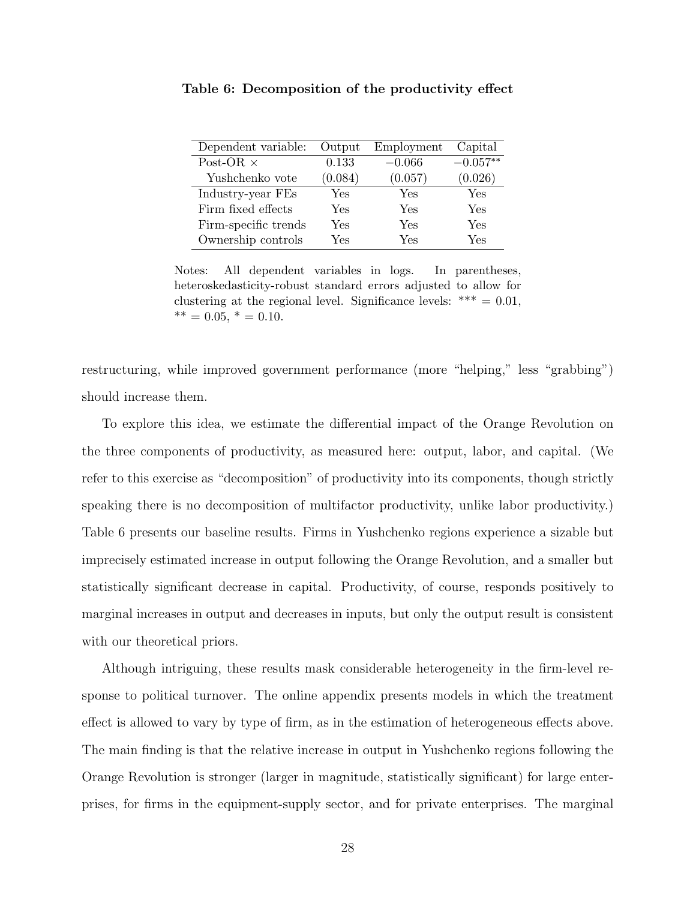| Dependent variable:  | Output  | Employment | Capital    |
|----------------------|---------|------------|------------|
| Post-OR $\times$     | 0.133   | $-0.066$   | $-0.057**$ |
| Yushchenko vote      | (0.084) | (0.057)    | (0.026)    |
| Industry-year FEs    | Yes     | Yes        | Yes        |
| Firm fixed effects   | Yes     | Yes        | Yes        |
| Firm-specific trends | Yes     | Yes        | Yes        |
| Ownership controls   | Yes     | Yes        | Yes        |

Table 6: Decomposition of the productivity effect

Notes: All dependent variables in logs. In parentheses, heteroskedasticity-robust standard errors adjusted to allow for clustering at the regional level. Significance levels:  $*** = 0.01$ ,  $*** = 0.05, * = 0.10.$ 

restructuring, while improved government performance (more "helping," less "grabbing") should increase them.

To explore this idea, we estimate the differential impact of the Orange Revolution on the three components of productivity, as measured here: output, labor, and capital. (We refer to this exercise as "decomposition" of productivity into its components, though strictly speaking there is no decomposition of multifactor productivity, unlike labor productivity.) Table 6 presents our baseline results. Firms in Yushchenko regions experience a sizable but imprecisely estimated increase in output following the Orange Revolution, and a smaller but statistically significant decrease in capital. Productivity, of course, responds positively to marginal increases in output and decreases in inputs, but only the output result is consistent with our theoretical priors.

Although intriguing, these results mask considerable heterogeneity in the firm-level response to political turnover. The online appendix presents models in which the treatment effect is allowed to vary by type of firm, as in the estimation of heterogeneous effects above. The main finding is that the relative increase in output in Yushchenko regions following the Orange Revolution is stronger (larger in magnitude, statistically significant) for large enterprises, for firms in the equipment-supply sector, and for private enterprises. The marginal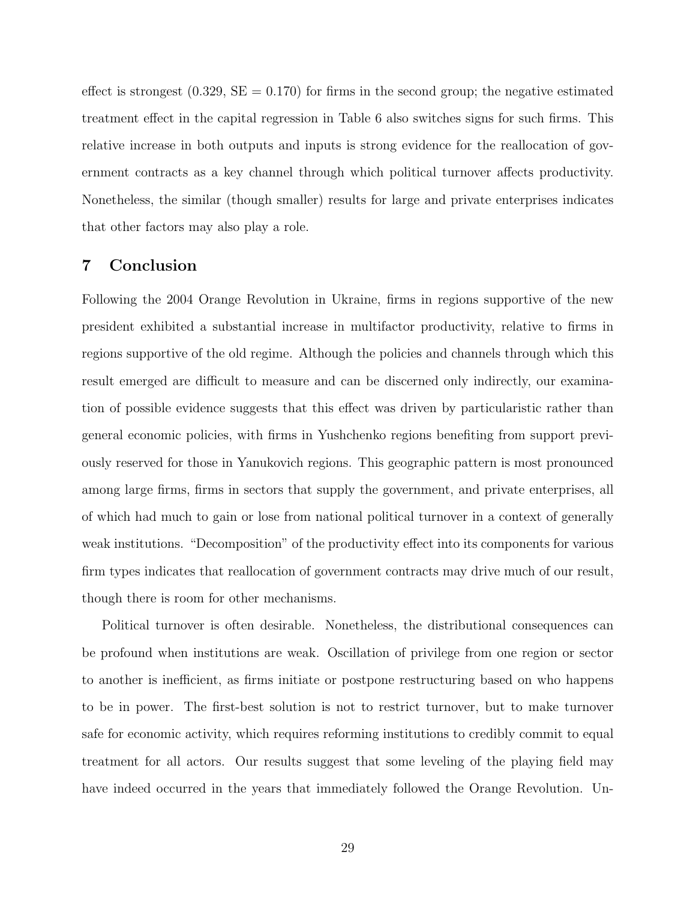effect is strongest  $(0.329, SE = 0.170)$  for firms in the second group; the negative estimated treatment effect in the capital regression in Table 6 also switches signs for such firms. This relative increase in both outputs and inputs is strong evidence for the reallocation of government contracts as a key channel through which political turnover affects productivity. Nonetheless, the similar (though smaller) results for large and private enterprises indicates that other factors may also play a role.

## 7 Conclusion

Following the 2004 Orange Revolution in Ukraine, firms in regions supportive of the new president exhibited a substantial increase in multifactor productivity, relative to firms in regions supportive of the old regime. Although the policies and channels through which this result emerged are difficult to measure and can be discerned only indirectly, our examination of possible evidence suggests that this effect was driven by particularistic rather than general economic policies, with firms in Yushchenko regions benefiting from support previously reserved for those in Yanukovich regions. This geographic pattern is most pronounced among large firms, firms in sectors that supply the government, and private enterprises, all of which had much to gain or lose from national political turnover in a context of generally weak institutions. "Decomposition" of the productivity effect into its components for various firm types indicates that reallocation of government contracts may drive much of our result, though there is room for other mechanisms.

Political turnover is often desirable. Nonetheless, the distributional consequences can be profound when institutions are weak. Oscillation of privilege from one region or sector to another is inefficient, as firms initiate or postpone restructuring based on who happens to be in power. The first-best solution is not to restrict turnover, but to make turnover safe for economic activity, which requires reforming institutions to credibly commit to equal treatment for all actors. Our results suggest that some leveling of the playing field may have indeed occurred in the years that immediately followed the Orange Revolution. Un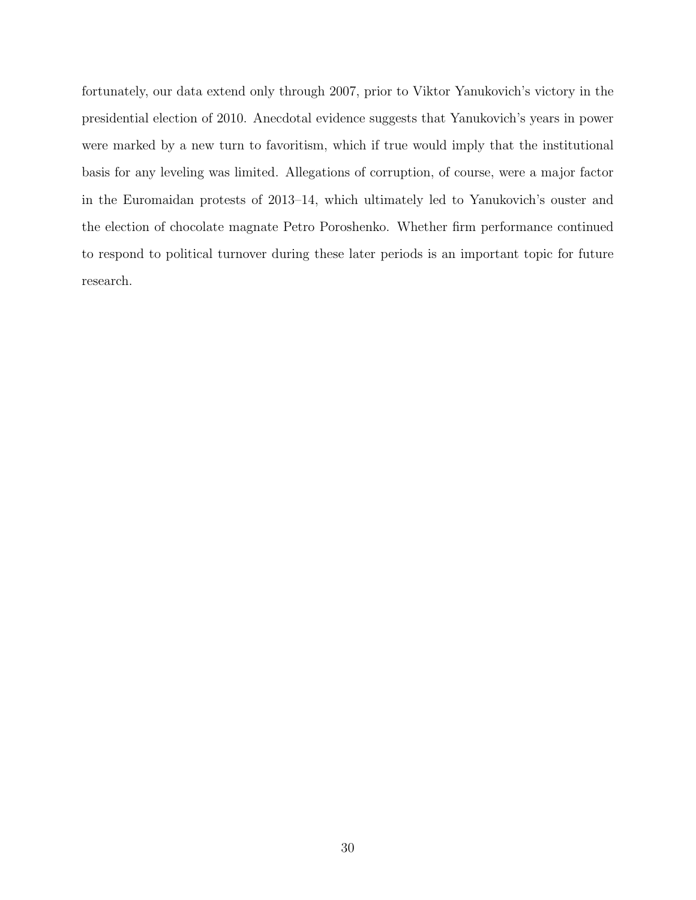fortunately, our data extend only through 2007, prior to Viktor Yanukovich's victory in the presidential election of 2010. Anecdotal evidence suggests that Yanukovich's years in power were marked by a new turn to favoritism, which if true would imply that the institutional basis for any leveling was limited. Allegations of corruption, of course, were a major factor in the Euromaidan protests of 2013–14, which ultimately led to Yanukovich's ouster and the election of chocolate magnate Petro Poroshenko. Whether firm performance continued to respond to political turnover during these later periods is an important topic for future research.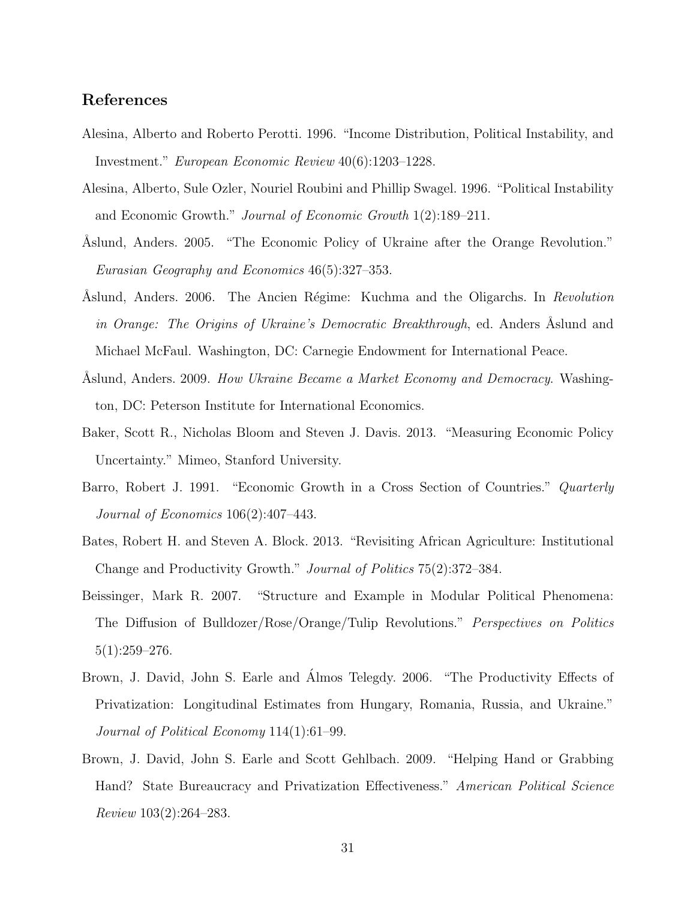# References

- Alesina, Alberto and Roberto Perotti. 1996. "Income Distribution, Political Instability, and Investment." European Economic Review 40(6):1203–1228.
- Alesina, Alberto, Sule Ozler, Nouriel Roubini and Phillip Swagel. 1996. "Political Instability and Economic Growth." Journal of Economic Growth 1(2):189–211.
- Aslund, Anders. 2005. "The Economic Policy of Ukraine after the Orange Revolution." Eurasian Geography and Economics 46(5):327–353.
- Aslund, Anders. 2006. The Ancien Régime: Kuchma and the Oligarchs. In Revolution in Orange: The Origins of Ukraine's Democratic Breakthrough, ed. Anders Åslund and Michael McFaul. Washington, DC: Carnegie Endowment for International Peace.
- Aslund, Anders. 2009. How Ukraine Became a Market Economy and Democracy. Washington, DC: Peterson Institute for International Economics.
- Baker, Scott R., Nicholas Bloom and Steven J. Davis. 2013. "Measuring Economic Policy Uncertainty." Mimeo, Stanford University.
- Barro, Robert J. 1991. "Economic Growth in a Cross Section of Countries." Quarterly Journal of Economics 106(2):407–443.
- Bates, Robert H. and Steven A. Block. 2013. "Revisiting African Agriculture: Institutional Change and Productivity Growth." Journal of Politics 75(2):372–384.
- Beissinger, Mark R. 2007. "Structure and Example in Modular Political Phenomena: The Diffusion of Bulldozer/Rose/Orange/Tulip Revolutions." Perspectives on Politics  $5(1):259-276.$
- Brown, J. David, John S. Earle and Almos Telegdy. 2006. "The Productivity Effects of Privatization: Longitudinal Estimates from Hungary, Romania, Russia, and Ukraine." Journal of Political Economy 114(1):61–99.
- Brown, J. David, John S. Earle and Scott Gehlbach. 2009. "Helping Hand or Grabbing Hand? State Bureaucracy and Privatization Effectiveness." American Political Science Review 103(2):264–283.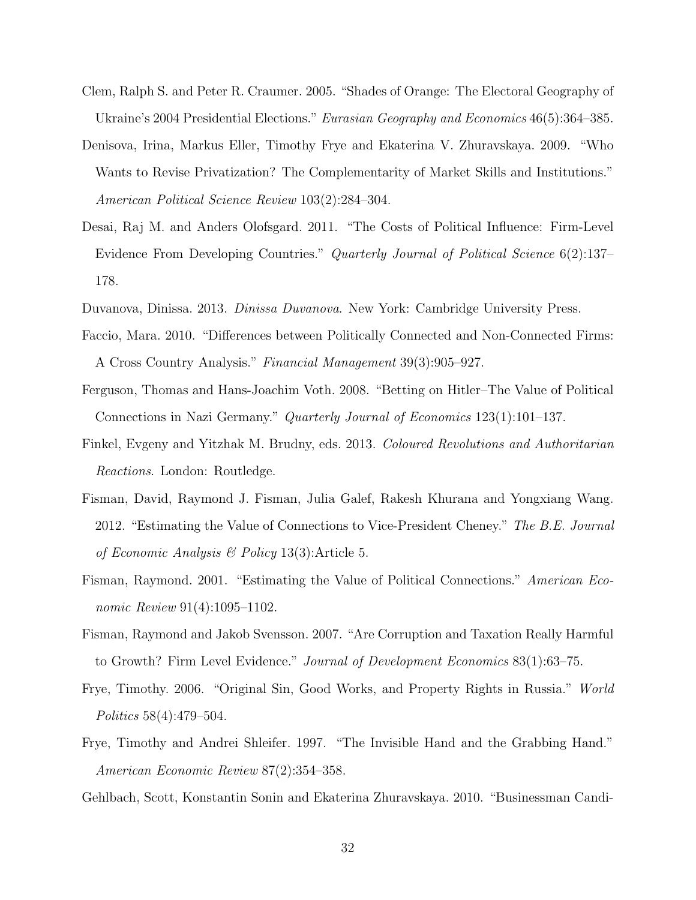- Clem, Ralph S. and Peter R. Craumer. 2005. "Shades of Orange: The Electoral Geography of Ukraine's 2004 Presidential Elections." Eurasian Geography and Economics 46(5):364–385.
- Denisova, Irina, Markus Eller, Timothy Frye and Ekaterina V. Zhuravskaya. 2009. "Who Wants to Revise Privatization? The Complementarity of Market Skills and Institutions." American Political Science Review 103(2):284–304.
- Desai, Raj M. and Anders Olofsgard. 2011. "The Costs of Political Influence: Firm-Level Evidence From Developing Countries." Quarterly Journal of Political Science 6(2):137– 178.
- Duvanova, Dinissa. 2013. Dinissa Duvanova. New York: Cambridge University Press.
- Faccio, Mara. 2010. "Differences between Politically Connected and Non-Connected Firms: A Cross Country Analysis." Financial Management 39(3):905–927.
- Ferguson, Thomas and Hans-Joachim Voth. 2008. "Betting on Hitler–The Value of Political Connections in Nazi Germany." Quarterly Journal of Economics 123(1):101–137.
- Finkel, Evgeny and Yitzhak M. Brudny, eds. 2013. Coloured Revolutions and Authoritarian Reactions. London: Routledge.
- Fisman, David, Raymond J. Fisman, Julia Galef, Rakesh Khurana and Yongxiang Wang. 2012. "Estimating the Value of Connections to Vice-President Cheney." The B.E. Journal of Economic Analysis & Policy 13(3):Article 5.
- Fisman, Raymond. 2001. "Estimating the Value of Political Connections." American Economic Review 91(4):1095-1102.
- Fisman, Raymond and Jakob Svensson. 2007. "Are Corruption and Taxation Really Harmful to Growth? Firm Level Evidence." Journal of Development Economics 83(1):63–75.
- Frye, Timothy. 2006. "Original Sin, Good Works, and Property Rights in Russia." World Politics 58(4):479–504.
- Frye, Timothy and Andrei Shleifer. 1997. "The Invisible Hand and the Grabbing Hand." American Economic Review 87(2):354–358.
- Gehlbach, Scott, Konstantin Sonin and Ekaterina Zhuravskaya. 2010. "Businessman Candi-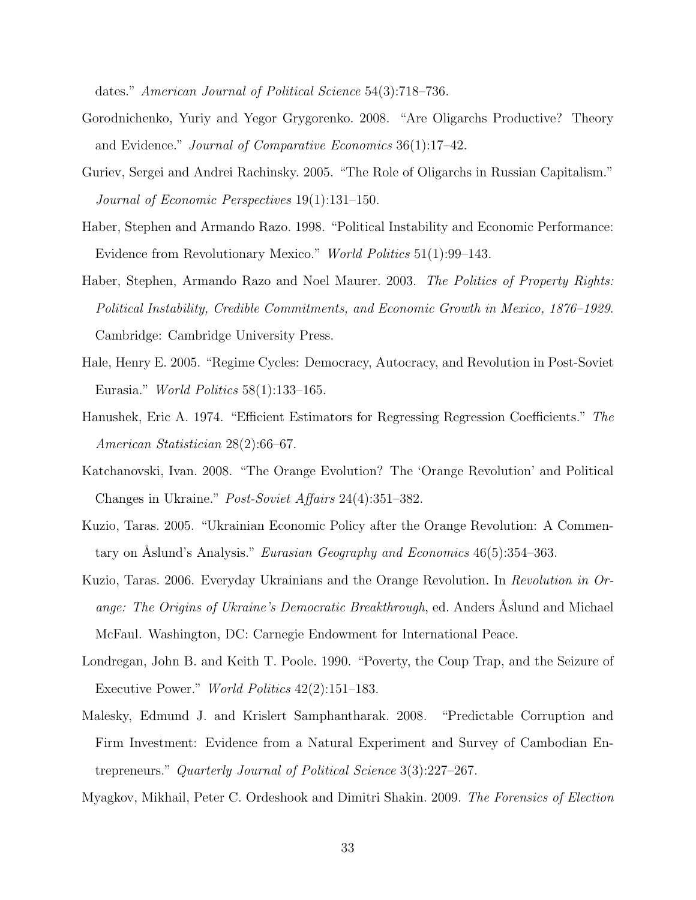dates." American Journal of Political Science 54(3):718–736.

- Gorodnichenko, Yuriy and Yegor Grygorenko. 2008. "Are Oligarchs Productive? Theory and Evidence." Journal of Comparative Economics 36(1):17–42.
- Guriev, Sergei and Andrei Rachinsky. 2005. "The Role of Oligarchs in Russian Capitalism." Journal of Economic Perspectives 19(1):131–150.
- Haber, Stephen and Armando Razo. 1998. "Political Instability and Economic Performance: Evidence from Revolutionary Mexico." World Politics 51(1):99–143.
- Haber, Stephen, Armando Razo and Noel Maurer. 2003. The Politics of Property Rights: Political Instability, Credible Commitments, and Economic Growth in Mexico, 1876–1929. Cambridge: Cambridge University Press.
- Hale, Henry E. 2005. "Regime Cycles: Democracy, Autocracy, and Revolution in Post-Soviet Eurasia." World Politics 58(1):133–165.
- Hanushek, Eric A. 1974. "Efficient Estimators for Regressing Regression Coefficients." The American Statistician 28(2):66–67.
- Katchanovski, Ivan. 2008. "The Orange Evolution? The 'Orange Revolution' and Political Changes in Ukraine." Post-Soviet Affairs 24(4):351–382.
- Kuzio, Taras. 2005. "Ukrainian Economic Policy after the Orange Revolution: A Commentary on Aslund's Analysis." Eurasian Geography and Economics  $46(5):354-363$ .
- Kuzio, Taras. 2006. Everyday Ukrainians and the Orange Revolution. In Revolution in Orange: The Origins of Ukraine's Democratic Breakthrough, ed. Anders Aslund and Michael McFaul. Washington, DC: Carnegie Endowment for International Peace.
- Londregan, John B. and Keith T. Poole. 1990. "Poverty, the Coup Trap, and the Seizure of Executive Power." World Politics 42(2):151–183.
- Malesky, Edmund J. and Krislert Samphantharak. 2008. "Predictable Corruption and Firm Investment: Evidence from a Natural Experiment and Survey of Cambodian Entrepreneurs." Quarterly Journal of Political Science 3(3):227–267.
- Myagkov, Mikhail, Peter C. Ordeshook and Dimitri Shakin. 2009. The Forensics of Election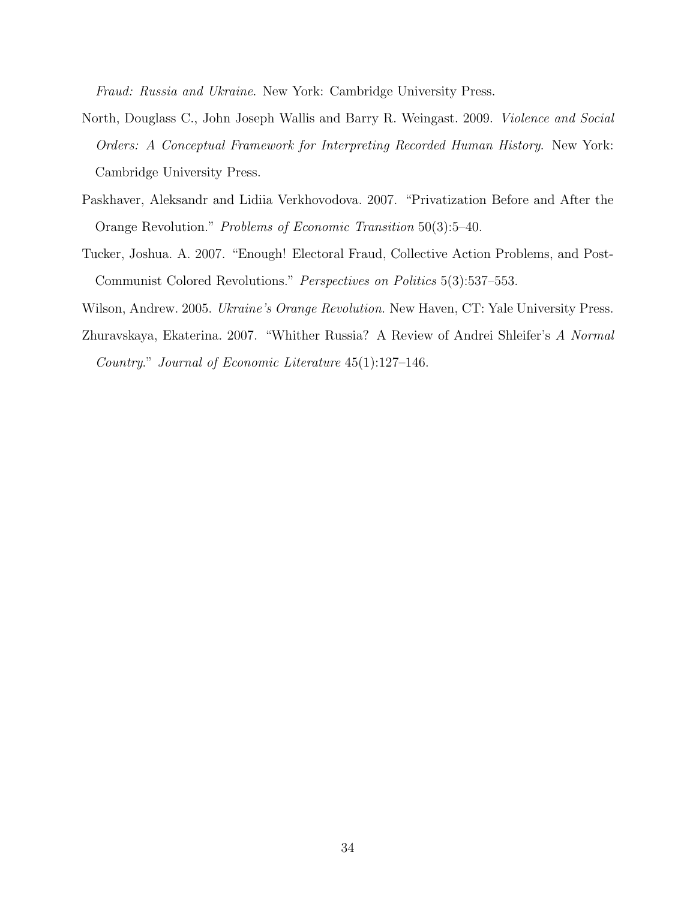Fraud: Russia and Ukraine. New York: Cambridge University Press.

- North, Douglass C., John Joseph Wallis and Barry R. Weingast. 2009. Violence and Social Orders: A Conceptual Framework for Interpreting Recorded Human History. New York: Cambridge University Press.
- Paskhaver, Aleksandr and Lidiia Verkhovodova. 2007. "Privatization Before and After the Orange Revolution." Problems of Economic Transition 50(3):5–40.
- Tucker, Joshua. A. 2007. "Enough! Electoral Fraud, Collective Action Problems, and Post-Communist Colored Revolutions." Perspectives on Politics 5(3):537–553.

Wilson, Andrew. 2005. *Ukraine's Orange Revolution*. New Haven, CT: Yale University Press.

Zhuravskaya, Ekaterina. 2007. "Whither Russia? A Review of Andrei Shleifer's A Normal Country." Journal of Economic Literature 45(1):127–146.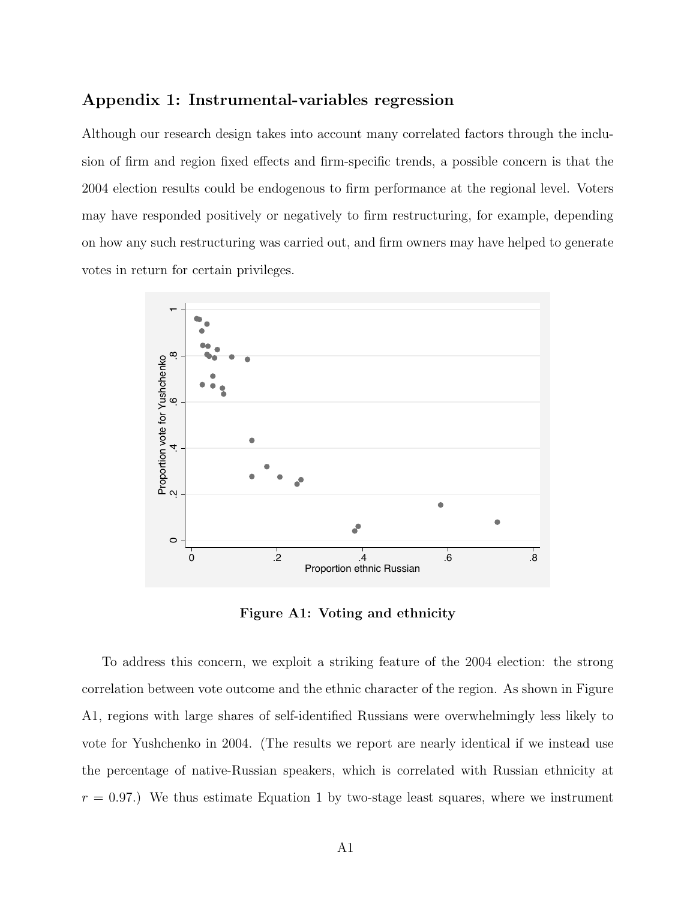### Appendix 1: Instrumental-variables regression

Although our research design takes into account many correlated factors through the inclusion of firm and region fixed effects and firm-specific trends, a possible concern is that the 2004 election results could be endogenous to firm performance at the regional level. Voters may have responded positively or negatively to firm restructuring, for example, depending on how any such restructuring was carried out, and firm owners may have helped to generate votes in return for certain privileges.



Figure A1: Voting and ethnicity

To address this concern, we exploit a striking feature of the 2004 election: the strong correlation between vote outcome and the ethnic character of the region. As shown in Figure A1, regions with large shares of self-identified Russians were overwhelmingly less likely to vote for Yushchenko in 2004. (The results we report are nearly identical if we instead use the percentage of native-Russian speakers, which is correlated with Russian ethnicity at  $r = 0.97$ .) We thus estimate Equation 1 by two-stage least squares, where we instrument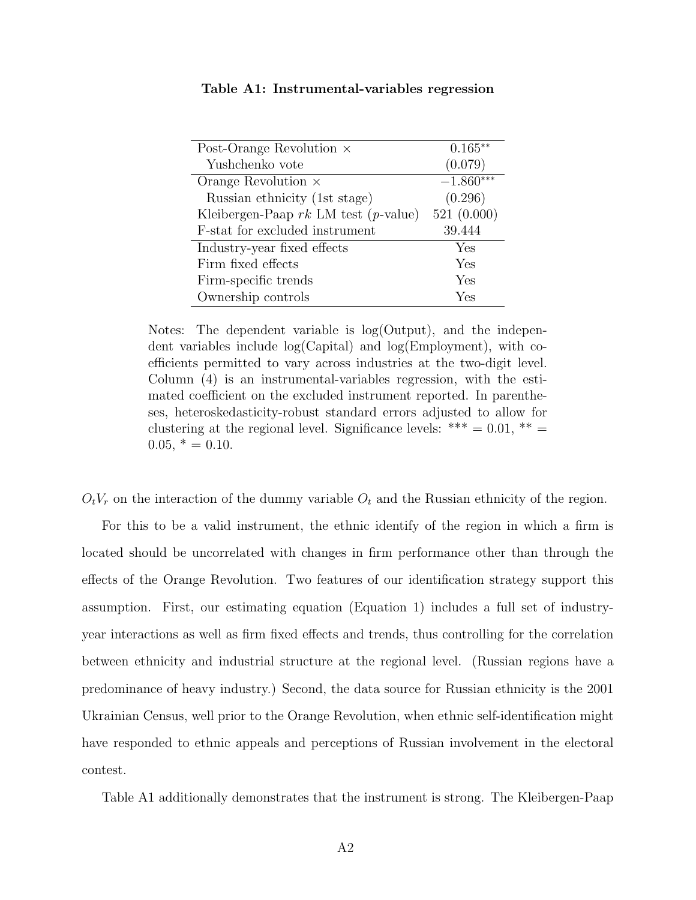| Post-Orange Revolution $\times$        | $0.165**$   |
|----------------------------------------|-------------|
| Yushchenko vote                        | (0.079)     |
| Orange Revolution $\times$             | $-1.860***$ |
| Russian ethnicity (1st stage)          | (0.296)     |
| Kleibergen-Paap $rk$ LM test (p-value) | 521(0.000)  |
| F-stat for excluded instrument         | 39.444      |
| Industry-year fixed effects            | Yes         |
| Firm fixed effects                     | Yes         |
| Firm-specific trends                   | Yes         |
| Ownership controls                     | Yes         |

Table A1: Instrumental-variables regression

Notes: The dependent variable is log(Output), and the independent variables include log(Capital) and log(Employment), with coefficients permitted to vary across industries at the two-digit level. Column (4) is an instrumental-variables regression, with the estimated coefficient on the excluded instrument reported. In parentheses, heteroskedasticity-robust standard errors adjusted to allow for clustering at the regional level. Significance levels: \*\*\*  $= 0.01$ , \*\*  $0.05$ ,  $* = 0.10$ .

 $O_tV_r$  on the interaction of the dummy variable  $O_t$  and the Russian ethnicity of the region.

For this to be a valid instrument, the ethnic identify of the region in which a firm is located should be uncorrelated with changes in firm performance other than through the effects of the Orange Revolution. Two features of our identification strategy support this assumption. First, our estimating equation (Equation 1) includes a full set of industryyear interactions as well as firm fixed effects and trends, thus controlling for the correlation between ethnicity and industrial structure at the regional level. (Russian regions have a predominance of heavy industry.) Second, the data source for Russian ethnicity is the 2001 Ukrainian Census, well prior to the Orange Revolution, when ethnic self-identification might have responded to ethnic appeals and perceptions of Russian involvement in the electoral contest.

Table A1 additionally demonstrates that the instrument is strong. The Kleibergen-Paap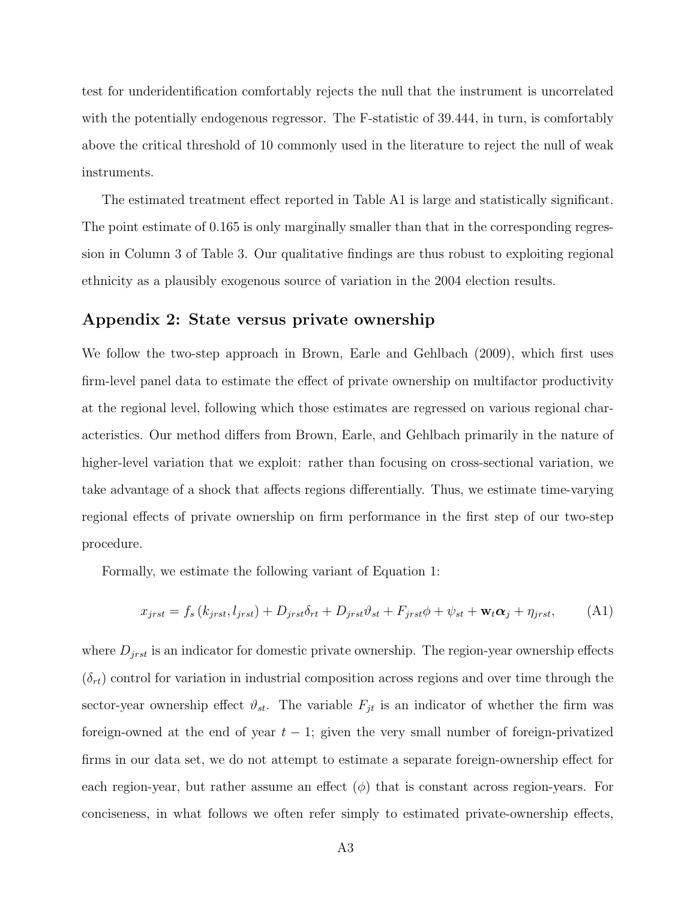test for underidentification comfortably rejects the null that the instrument is uncorrelated with the potentially endogenous regressor. The F-statistic of 39.444, in turn, is comfortably above the critical threshold of 10 commonly used in the literature to reject the null of weak instruments.

The estimated treatment effect reported in Table A1 is large and statistically significant. The point estimate of 0.165 is only marginally smaller than that in the corresponding regression in Column 3 of Table 3. Our qualitative findings are thus robust to exploiting regional ethnicity as a plausibly exogenous source of variation in the 2004 election results.

### Appendix 2: State versus private ownership

We follow the two-step approach in Brown, Earle and Gehlbach (2009), which first uses firm-level panel data to estimate the effect of private ownership on multifactor productivity at the regional level, following which those estimates are regressed on various regional characteristics. Our method differs from Brown, Earle, and Gehlbach primarily in the nature of higher-level variation that we exploit: rather than focusing on cross-sectional variation, we take advantage of a shock that affects regions differentially. Thus, we estimate time-varying regional effects of private ownership on firm performance in the first step of our two-step procedure.

Formally, we estimate the following variant of Equation 1:

$$
x_{jrst} = f_s(k_{jrst}, l_{jrst}) + D_{jrst}\delta_{rt} + D_{jrst}\vartheta_{st} + F_{jrst}\varphi + \psi_{st} + \mathbf{w}_t \alpha_j + \eta_{jrst}, \tag{A1}
$$

where  $D_{jrst}$  is an indicator for domestic private ownership. The region-year ownership effects  $(\delta_{rt})$  control for variation in industrial composition across regions and over time through the sector-year ownership effect  $\vartheta_{st}$ . The variable  $F_{jt}$  is an indicator of whether the firm was foreign-owned at the end of year  $t - 1$ ; given the very small number of foreign-privatized firms in our data set, we do not attempt to estimate a separate foreign-ownership effect for each region-year, but rather assume an effect  $(\phi)$  that is constant across region-years. For conciseness, in what follows we often refer simply to estimated private-ownership effects,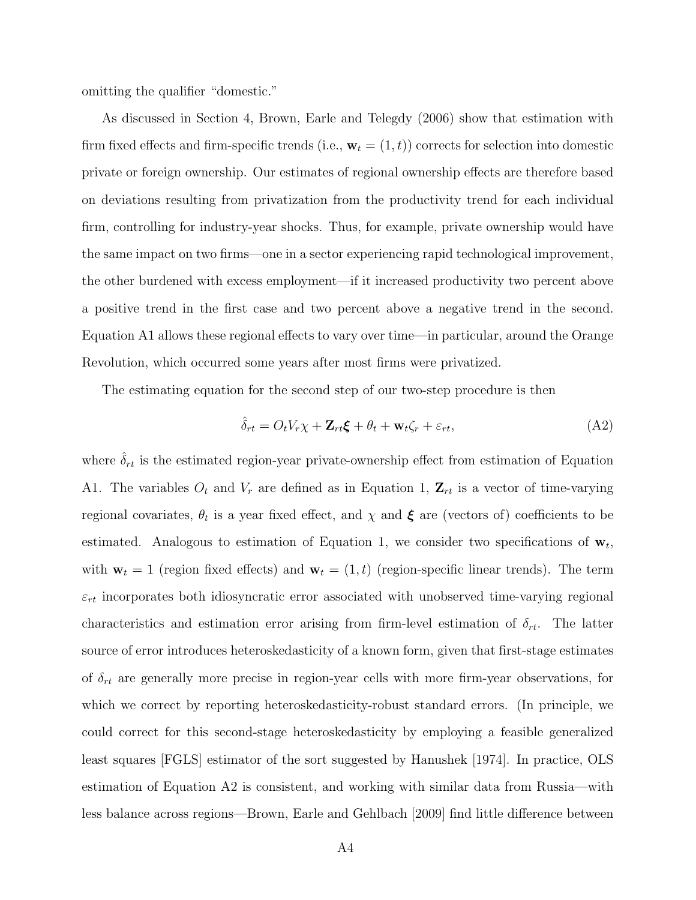omitting the qualifier "domestic."

As discussed in Section 4, Brown, Earle and Telegdy (2006) show that estimation with firm fixed effects and firm-specific trends (i.e.,  $\mathbf{w}_t = (1, t)$ ) corrects for selection into domestic private or foreign ownership. Our estimates of regional ownership effects are therefore based on deviations resulting from privatization from the productivity trend for each individual firm, controlling for industry-year shocks. Thus, for example, private ownership would have the same impact on two firms—one in a sector experiencing rapid technological improvement, the other burdened with excess employment—if it increased productivity two percent above a positive trend in the first case and two percent above a negative trend in the second. Equation A1 allows these regional effects to vary over time—in particular, around the Orange Revolution, which occurred some years after most firms were privatized.

The estimating equation for the second step of our two-step procedure is then

$$
\hat{\delta}_{rt} = O_t V_r \chi + \mathbf{Z}_{rt} \boldsymbol{\xi} + \theta_t + \mathbf{w}_t \zeta_r + \varepsilon_{rt},\tag{A2}
$$

where  $\delta_{rt}$  is the estimated region-year private-ownership effect from estimation of Equation A1. The variables  $O_t$  and  $V_r$  are defined as in Equation 1,  $\mathbf{Z}_{rt}$  is a vector of time-varying regional covariates,  $\theta_t$  is a year fixed effect, and  $\chi$  and  $\xi$  are (vectors of) coefficients to be estimated. Analogous to estimation of Equation 1, we consider two specifications of  $\mathbf{w}_t$ , with  $\mathbf{w}_t = 1$  (region fixed effects) and  $\mathbf{w}_t = (1, t)$  (region-specific linear trends). The term  $\varepsilon_{rt}$  incorporates both idiosyncratic error associated with unobserved time-varying regional characteristics and estimation error arising from firm-level estimation of  $\delta_{rt}$ . The latter source of error introduces heteroskedasticity of a known form, given that first-stage estimates of  $\delta_{rt}$  are generally more precise in region-year cells with more firm-year observations, for which we correct by reporting heteroskedasticity-robust standard errors. (In principle, we could correct for this second-stage heteroskedasticity by employing a feasible generalized least squares [FGLS] estimator of the sort suggested by Hanushek [1974]. In practice, OLS estimation of Equation A2 is consistent, and working with similar data from Russia—with less balance across regions—Brown, Earle and Gehlbach [2009] find little difference between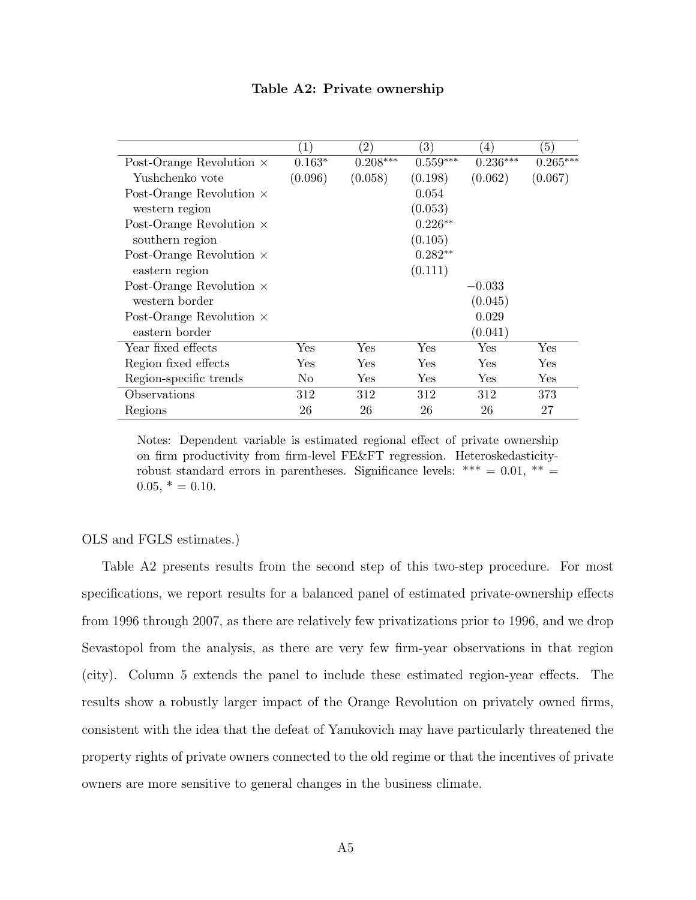|  |  | Table A2: Private ownership |
|--|--|-----------------------------|
|--|--|-----------------------------|

|                                 | $\left(1\right)$ | $\left( 2\right)$ | (3)        | $\left(4\right)$ | $\left(5\right)$ |
|---------------------------------|------------------|-------------------|------------|------------------|------------------|
| Post-Orange Revolution $\times$ | $0.163*$         | $0.208***$        | $0.559***$ | $0.236***$       | $0.265***$       |
| Yushchenko vote                 | (0.096)          | (0.058)           | (0.198)    | (0.062)          | (0.067)          |
| Post-Orange Revolution $\times$ |                  |                   | 0.054      |                  |                  |
| western region                  |                  |                   | (0.053)    |                  |                  |
| Post-Orange Revolution $\times$ |                  |                   | $0.226**$  |                  |                  |
| southern region                 |                  |                   | (0.105)    |                  |                  |
| Post-Orange Revolution $\times$ |                  |                   | $0.282**$  |                  |                  |
| eastern region                  |                  |                   | (0.111)    |                  |                  |
| Post-Orange Revolution $\times$ |                  |                   |            | $-0.033$         |                  |
| western border                  |                  |                   |            | (0.045)          |                  |
| Post-Orange Revolution $\times$ |                  |                   |            | 0.029            |                  |
| eastern border                  |                  |                   |            | (0.041)          |                  |
| Year fixed effects              | Yes              | Yes               | Yes        | Yes              | Yes              |
| Region fixed effects            | ${\rm Yes}$      | ${\rm Yes}$       | Yes        | <b>Yes</b>       | Yes              |
| Region-specific trends          | No.              | Yes               | Yes        | Yes              | Yes              |
| Observations                    | 312              | 312               | 312        | 312              | 373              |
| Regions                         | 26               | 26                | 26         | 26               | 27               |

Notes: Dependent variable is estimated regional effect of private ownership on firm productivity from firm-level FE&FT regression. Heteroskedasticityrobust standard errors in parentheses. Significance levels: \*\*\* =  $0.01$ , \*\*  $0.05, * = 0.10.$ 

#### OLS and FGLS estimates.)

Table A2 presents results from the second step of this two-step procedure. For most specifications, we report results for a balanced panel of estimated private-ownership effects from 1996 through 2007, as there are relatively few privatizations prior to 1996, and we drop Sevastopol from the analysis, as there are very few firm-year observations in that region (city). Column 5 extends the panel to include these estimated region-year effects. The results show a robustly larger impact of the Orange Revolution on privately owned firms, consistent with the idea that the defeat of Yanukovich may have particularly threatened the property rights of private owners connected to the old regime or that the incentives of private owners are more sensitive to general changes in the business climate.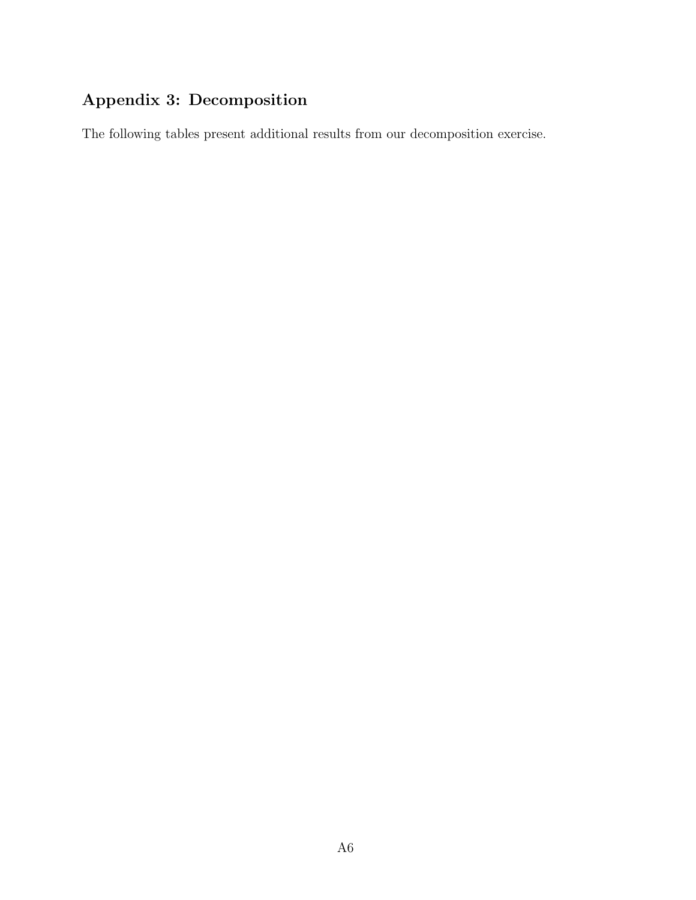# Appendix 3: Decomposition

The following tables present additional results from our decomposition exercise.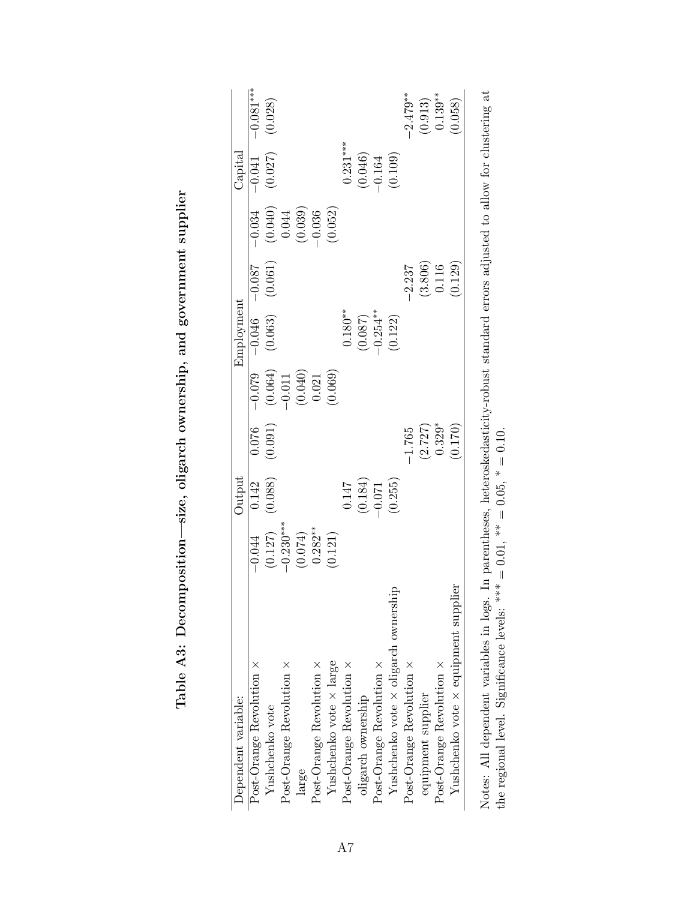| Dependent variable:                         |                                                                                           | Output                                                               |                                |                                                                                            | Employment            |                                                            |                                                                      | ${\rm Capital}$                |                      |
|---------------------------------------------|-------------------------------------------------------------------------------------------|----------------------------------------------------------------------|--------------------------------|--------------------------------------------------------------------------------------------|-----------------------|------------------------------------------------------------|----------------------------------------------------------------------|--------------------------------|----------------------|
| Post-Orange Revolution $\times$             |                                                                                           | 0.142                                                                | 0.076                          |                                                                                            | $-0.046$              | $-0.087$                                                   | $-0.034$                                                             | $-0.041$                       | $-0.081***$          |
| Yushchenko vote                             |                                                                                           | (0.088)                                                              | (0.091)                        |                                                                                            | (0.063)               | (0.061)                                                    |                                                                      | (0.027)                        | (0.028)              |
| Post-Orange Revolution ×                    |                                                                                           |                                                                      |                                |                                                                                            |                       |                                                            |                                                                      |                                |                      |
| large                                       | $-0.044$<br>$(0.127)$<br>$-0.230***$<br>$(0.074)$<br>$(0.074)$<br>$0.282***$<br>$(0.121)$ |                                                                      |                                | $\begin{bmatrix} -0.079 \\ (0.064) \\ -0.011 \\ (0.040) \\ (0.040) \\ 0.021 \end{bmatrix}$ |                       |                                                            | $\begin{array}{c} (0.040) \\ 0.044 \\ (0.039) \\ -0.036 \end{array}$ |                                |                      |
| Post-Orange Revolution $\times$             |                                                                                           |                                                                      |                                |                                                                                            |                       |                                                            |                                                                      |                                |                      |
| Yushchenko vote $\times$ large              |                                                                                           |                                                                      |                                | (0.069)                                                                                    |                       |                                                            | (0.052)                                                              |                                |                      |
| $Post-Orange$ Revolution $\times$           |                                                                                           |                                                                      |                                |                                                                                            | $0.180**$             |                                                            |                                                                      | $0.231***$                     |                      |
| oligarch ownership                          |                                                                                           |                                                                      |                                |                                                                                            |                       |                                                            |                                                                      |                                |                      |
| Post-Orange Revolution $\times$             |                                                                                           |                                                                      |                                |                                                                                            | $(0.087)$<br>-0.254** |                                                            |                                                                      |                                |                      |
| Yushchenko vote $\times$ oligarch ownership |                                                                                           | $\begin{array}{c} 0.147 \\ (0.184) \\ -0.071 \\ \end{array}$ (0.255) |                                |                                                                                            | (0.122)               |                                                            |                                                                      | $(0.046)$<br>-0.164<br>(0.109) |                      |
| Post-Orange Revolution $\times$             |                                                                                           |                                                                      | $-1.765$                       |                                                                                            |                       | $-2.237$                                                   |                                                                      |                                | $-2.479**$           |
| equipment supplier                          |                                                                                           |                                                                      | $(2.727)$<br>0.329*<br>(0.170) |                                                                                            |                       |                                                            |                                                                      |                                | $(0.913)$<br>0.139** |
| Post-Orange Revolution ×                    |                                                                                           |                                                                      |                                |                                                                                            |                       | $\begin{array}{c} (3.806) \\ 0.116 \\ (0.129) \end{array}$ |                                                                      |                                |                      |
| Yushchenko vote $\times$ equipment supplier |                                                                                           |                                                                      |                                |                                                                                            |                       |                                                            |                                                                      |                                | (0.058)              |

| and communications are<br>l<br>֠                                                                                              |
|-------------------------------------------------------------------------------------------------------------------------------|
| ١                                                                                                                             |
| بر موجود منه<br>منابع<br>$\vdots$                                                                                             |
| i<br>.<br>היה היידים הוא ה                                                                                                    |
| {<br>{                                                                                                                        |
| -<br>-<br>-<br>-<br>י<br>ו                                                                                                    |
| is a factor of the contract of the contract of the contract of the contract of the contract of the contract of<br>İ<br>l<br>I |
| l                                                                                                                             |
| I<br>j<br>į<br>י<br> <br>.<br>!<br>I                                                                                          |

Notes: All dependent variables in logs. In parentheses, heteroskedasticity-robust standard errors adjusted to allow for clustering at the regional level. Significance levels: \*\*\* = 0.01, \*\* = 0.05, \* = 0.10. Notes: All dependent variables in logs. In parentheses, heteroskedasticity-robust standard errors adjusted to allow for clustering at the regional level. Significance levels: \*\*\*  $= 0.01$ , \*\*  $= 0.05$ , \*  $= 0.10$ .